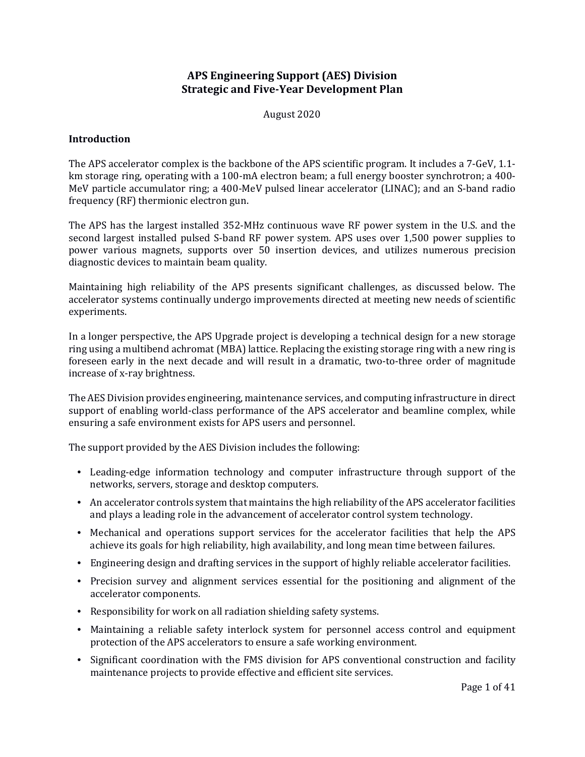# **APS Engineering Support (AES) Division Strategic and Five-Year Development Plan**

August 2020

### **Introduction**

The APS accelerator complex is the backbone of the APS scientific program. It includes a 7-GeV, 1.1 km storage ring, operating with a 100-mA electron beam; a full energy booster synchrotron; a 400- MeV particle accumulator ring; a 400-MeV pulsed linear accelerator (LINAC); and an S-band radio frequency (RF) thermionic electron gun.

The APS has the largest installed 352-MHz continuous wave RF power system in the U.S. and the second largest installed pulsed S-band RF power system. APS uses over 1,500 power supplies to power various magnets, supports over 50 insertion devices, and utilizes numerous precision diagnostic devices to maintain beam quality.

Maintaining high reliability of the APS presents significant challenges, as discussed below. The accelerator systems continually undergo improvements directed at meeting new needs of scientific experiments.

In a longer perspective, the APS Upgrade project is developing a technical design for a new storage ring using a multibend achromat (MBA) lattice. Replacing the existing storage ring with a new ring is foreseen early in the next decade and will result in a dramatic, two-to-three order of magnitude increase of x-ray brightness.

The AES Division provides engineering, maintenance services, and computing infrastructure in direct support of enabling world-class performance of the APS accelerator and beamline complex, while ensuring a safe environment exists for APS users and personnel.

The support provided by the AES Division includes the following:

- Leading-edge information technology and computer infrastructure through support of the networks, servers, storage and desktop computers.
- An accelerator controls system that maintains the high reliability of the APS accelerator facilities and plays a leading role in the advancement of accelerator control system technology.
- Mechanical and operations support services for the accelerator facilities that help the APS achieve its goals for high reliability, high availability, and long mean time between failures.
- Engineering design and drafting services in the support of highly reliable accelerator facilities.
- Precision survey and alignment services essential for the positioning and alignment of the accelerator components.
- Responsibility for work on all radiation shielding safety systems.
- Maintaining a reliable safety interlock system for personnel access control and equipment protection of the APS accelerators to ensure a safe working environment.
- Significant coordination with the FMS division for APS conventional construction and facility maintenance projects to provide effective and efficient site services.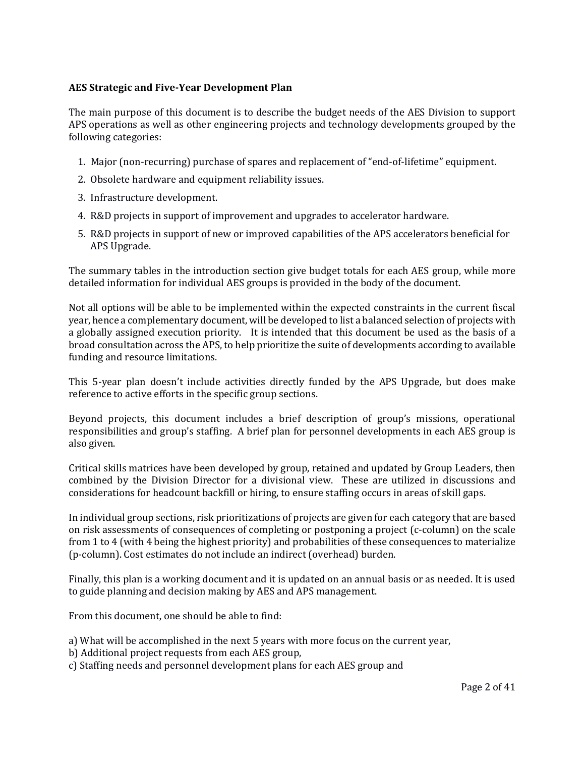### **AES Strategic and Five-Year Development Plan**

The main purpose of this document is to describe the budget needs of the AES Division to support APS operations as well as other engineering projects and technology developments grouped by the following categories:

- 1. Major (non-recurring) purchase of spares and replacement of "end-of-lifetime" equipment.
- 2. Obsolete hardware and equipment reliability issues.
- 3. Infrastructure development.
- 4. R&D projects in support of improvement and upgrades to accelerator hardware.
- 5. R&D projects in support of new or improved capabilities of the APS accelerators beneficial for APS Upgrade.

The summary tables in the introduction section give budget totals for each AES group, while more detailed information for individual AES groups is provided in the body of the document.

Not all options will be able to be implemented within the expected constraints in the current fiscal year, hence a complementary document, will be developed to list a balanced selection of projects with a globally assigned execution priority. It is intended that this document be used as the basis of a broad consultation across the APS, to help prioritize the suite of developments according to available funding and resource limitations.

This 5-year plan doesn't include activities directly funded by the APS Upgrade, but does make reference to active efforts in the specific group sections.

Beyond projects, this document includes a brief description of group's missions, operational responsibilities and group's staffing. A brief plan for personnel developments in each AES group is also given.

Critical skills matrices have been developed by group, retained and updated by Group Leaders, then combined by the Division Director for a divisional view. These are utilized in discussions and considerations for headcount backfill or hiring, to ensure staffing occurs in areas of skill gaps.

In individual group sections, risk prioritizations of projects are given for each category that are based on risk assessments of consequences of completing or postponing a project (c-column) on the scale from 1 to 4 (with 4 being the highest priority) and probabilities of these consequences to materialize (p-column). Cost estimates do not include an indirect (overhead) burden.

Finally, this plan is a working document and it is updated on an annual basis or as needed. It is used to guide planning and decision making by AES and APS management.

From this document, one should be able to find:

- a) What will be accomplished in the next 5 years with more focus on the current year,
- b) Additional project requests from each AES group,
- c) Staffing needs and personnel development plans for each AES group and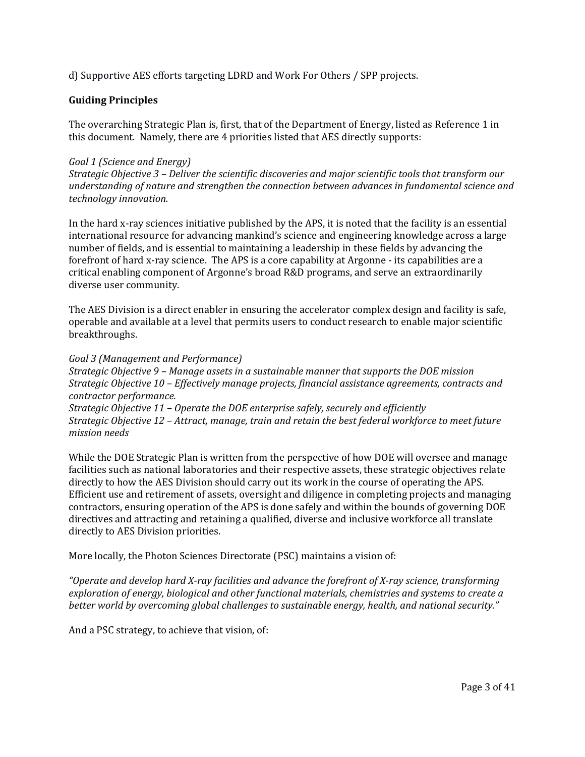d) Supportive AES efforts targeting LDRD and Work For Others / SPP projects.

### **Guiding Principles**

The overarching Strategic Plan is, first, that of the Department of Energy, listed as Reference 1 in this document. Namely, there are 4 priorities listed that AES directly supports:

#### *Goal 1 (Science and Energy)*

*Strategic Objective 3 – Deliver the scientific discoveries and major scientific tools that transform our understanding of nature and strengthen the connection between advances in fundamental science and technology innovation.*

In the hard x-ray sciences initiative published by the APS, it is noted that the facility is an essential international resource for advancing mankind's science and engineering knowledge across a large number of fields, and is essential to maintaining a leadership in these fields by advancing the forefront of hard x-ray science. The APS is a core capability at Argonne - its capabilities are a critical enabling component of Argonne's broad R&D programs, and serve an extraordinarily diverse user community.

The AES Division is a direct enabler in ensuring the accelerator complex design and facility is safe, operable and available at a level that permits users to conduct research to enable major scientific breakthroughs.

#### *Goal 3 (Management and Performance)*

*Strategic Objective 9 – Manage assets in a sustainable manner that supports the DOE mission Strategic Objective 10 – Effectively manage projects, financial assistance agreements, contracts and contractor performance. Strategic Objective 11 – Operate the DOE enterprise safely, securely and efficiently*

*Strategic Objective 12 – Attract, manage, train and retain the best federal workforce to meet future mission needs*

While the DOE Strategic Plan is written from the perspective of how DOE will oversee and manage facilities such as national laboratories and their respective assets, these strategic objectives relate directly to how the AES Division should carry out its work in the course of operating the APS. Efficient use and retirement of assets, oversight and diligence in completing projects and managing contractors, ensuring operation of the APS is done safely and within the bounds of governing DOE directives and attracting and retaining a qualified, diverse and inclusive workforce all translate directly to AES Division priorities.

More locally, the Photon Sciences Directorate (PSC) maintains a vision of:

*"Operate and develop hard X-ray facilities and advance the forefront of X-ray science, transforming exploration of energy, biological and other functional materials, chemistries and systems to create a better world by overcoming global challenges to sustainable energy, health, and national security."*

And a PSC strategy, to achieve that vision, of: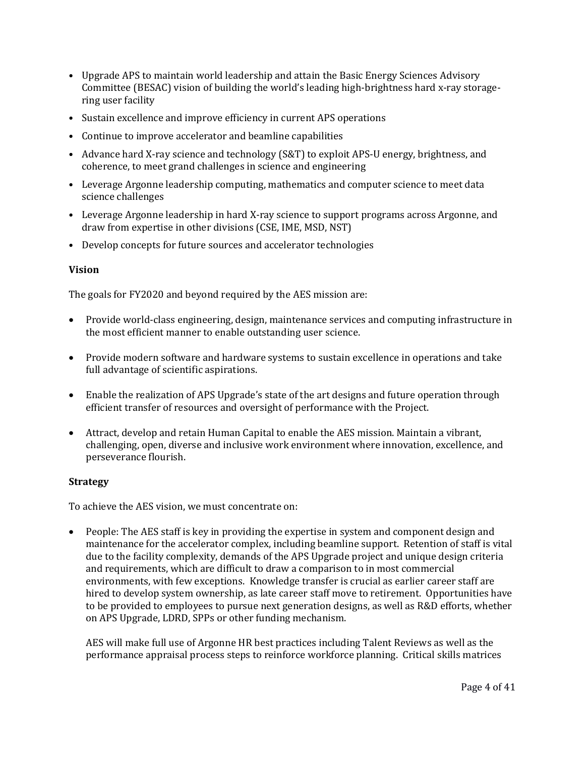- Upgrade APS to maintain world leadership and attain the Basic Energy Sciences Advisory Committee (BESAC) vision of building the world's leading high-brightness hard x-ray storagering user facility
- Sustain excellence and improve efficiency in current APS operations
- Continue to improve accelerator and beamline capabilities
- Advance hard X-ray science and technology (S&T) to exploit APS-U energy, brightness, and coherence, to meet grand challenges in science and engineering
- Leverage Argonne leadership computing, mathematics and computer science to meet data science challenges
- Leverage Argonne leadership in hard X-ray science to support programs across Argonne, and draw from expertise in other divisions (CSE, IME, MSD, NST)
- Develop concepts for future sources and accelerator technologies

### **Vision**

The goals for FY2020 and beyond required by the AES mission are:

- Provide world-class engineering, design, maintenance services and computing infrastructure in the most efficient manner to enable outstanding user science.
- Provide modern software and hardware systems to sustain excellence in operations and take full advantage of scientific aspirations.
- Enable the realization of APS Upgrade's state of the art designs and future operation through efficient transfer of resources and oversight of performance with the Project.
- Attract, develop and retain Human Capital to enable the AES mission. Maintain a vibrant, challenging, open, diverse and inclusive work environment where innovation, excellence, and perseverance flourish.

# **Strategy**

To achieve the AES vision, we must concentrate on:

• People: The AES staff is key in providing the expertise in system and component design and maintenance for the accelerator complex, including beamline support. Retention of staff is vital due to the facility complexity, demands of the APS Upgrade project and unique design criteria and requirements, which are difficult to draw a comparison to in most commercial environments, with few exceptions. Knowledge transfer is crucial as earlier career staff are hired to develop system ownership, as late career staff move to retirement. Opportunities have to be provided to employees to pursue next generation designs, as well as R&D efforts, whether on APS Upgrade, LDRD, SPPs or other funding mechanism.

AES will make full use of Argonne HR best practices including Talent Reviews as well as the performance appraisal process steps to reinforce workforce planning. Critical skills matrices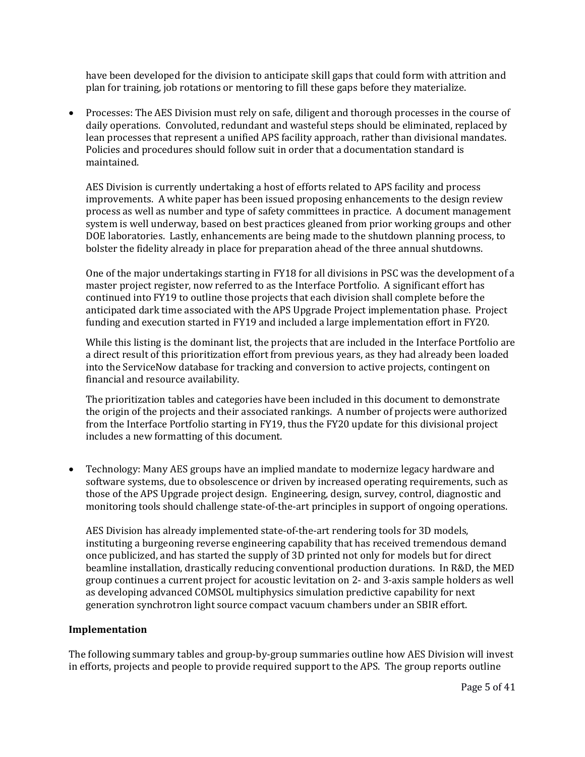have been developed for the division to anticipate skill gaps that could form with attrition and plan for training, job rotations or mentoring to fill these gaps before they materialize.

• Processes: The AES Division must rely on safe, diligent and thorough processes in the course of daily operations. Convoluted, redundant and wasteful steps should be eliminated, replaced by lean processes that represent a unified APS facility approach, rather than divisional mandates. Policies and procedures should follow suit in order that a documentation standard is maintained.

AES Division is currently undertaking a host of efforts related to APS facility and process improvements. A white paper has been issued proposing enhancements to the design review process as well as number and type of safety committees in practice. A document management system is well underway, based on best practices gleaned from prior working groups and other DOE laboratories. Lastly, enhancements are being made to the shutdown planning process, to bolster the fidelity already in place for preparation ahead of the three annual shutdowns.

One of the major undertakings starting in FY18 for all divisions in PSC was the development of a master project register, now referred to as the Interface Portfolio. A significant effort has continued into FY19 to outline those projects that each division shall complete before the anticipated dark time associated with the APS Upgrade Project implementation phase. Project funding and execution started in FY19 and included a large implementation effort in FY20.

While this listing is the dominant list, the projects that are included in the Interface Portfolio are a direct result of this prioritization effort from previous years, as they had already been loaded into the ServiceNow database for tracking and conversion to active projects, contingent on financial and resource availability.

The prioritization tables and categories have been included in this document to demonstrate the origin of the projects and their associated rankings. A number of projects were authorized from the Interface Portfolio starting in FY19, thus the FY20 update for this divisional project includes a new formatting of this document.

• Technology: Many AES groups have an implied mandate to modernize legacy hardware and software systems, due to obsolescence or driven by increased operating requirements, such as those of the APS Upgrade project design. Engineering, design, survey, control, diagnostic and monitoring tools should challenge state-of-the-art principles in support of ongoing operations.

AES Division has already implemented state-of-the-art rendering tools for 3D models, instituting a burgeoning reverse engineering capability that has received tremendous demand once publicized, and has started the supply of 3D printed not only for models but for direct beamline installation, drastically reducing conventional production durations. In R&D, the MED group continues a current project for acoustic levitation on 2- and 3-axis sample holders as well as developing advanced COMSOL multiphysics simulation predictive capability for next generation synchrotron light source compact vacuum chambers under an SBIR effort.

#### **Implementation**

The following summary tables and group-by-group summaries outline how AES Division will invest in efforts, projects and people to provide required support to the APS. The group reports outline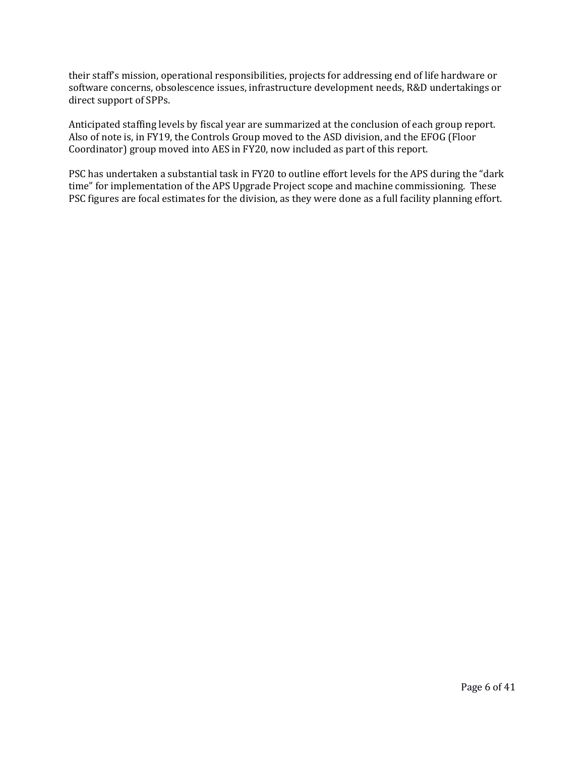their staff's mission, operational responsibilities, projects for addressing end of life hardware or software concerns, obsolescence issues, infrastructure development needs, R&D undertakings or direct support of SPPs.

Anticipated staffing levels by fiscal year are summarized at the conclusion of each group report. Also of note is, in FY19, the Controls Group moved to the ASD division, and the EFOG (Floor Coordinator) group moved into AES in FY20, now included as part of this report.

PSC has undertaken a substantial task in FY20 to outline effort levels for the APS during the "dark time" for implementation of the APS Upgrade Project scope and machine commissioning. These PSC figures are focal estimates for the division, as they were done as a full facility planning effort.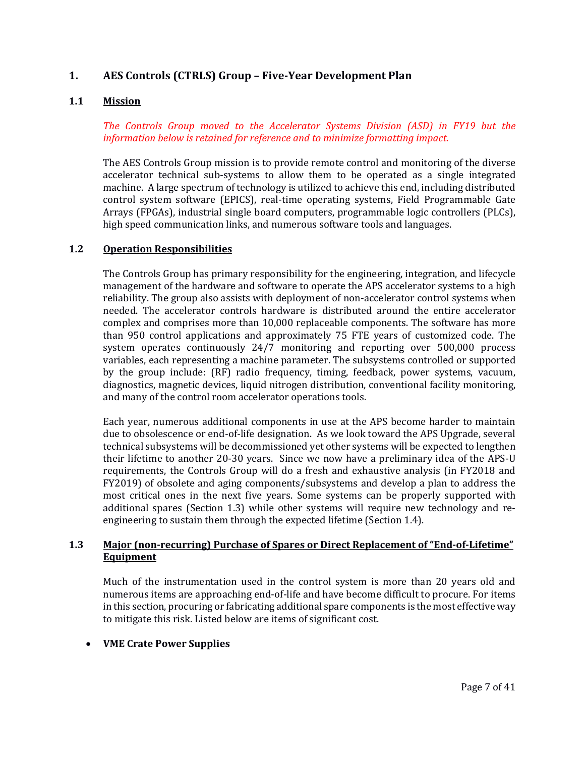# **1. AES Controls (CTRLS) Group – Five-Year Development Plan**

#### **1.1 Mission**

*The Controls Group moved to the Accelerator Systems Division (ASD) in FY19 but the information below is retained for reference and to minimize formatting impact.*

The AES Controls Group mission is to provide remote control and monitoring of the diverse accelerator technical sub-systems to allow them to be operated as a single integrated machine. A large spectrum of technology is utilized to achieve this end, including distributed control system software (EPICS), real-time operating systems, Field Programmable Gate Arrays (FPGAs), industrial single board computers, programmable logic controllers (PLCs), high speed communication links, and numerous software tools and languages.

#### **1.2 Operation Responsibilities**

The Controls Group has primary responsibility for the engineering, integration, and lifecycle management of the hardware and software to operate the APS accelerator systems to a high reliability. The group also assists with deployment of non-accelerator control systems when needed. The accelerator controls hardware is distributed around the entire accelerator complex and comprises more than 10,000 replaceable components. The software has more than 950 control applications and approximately 75 FTE years of customized code. The system operates continuously 24/7 monitoring and reporting over 500,000 process variables, each representing a machine parameter. The subsystems controlled or supported by the group include: (RF) radio frequency, timing, feedback, power systems, vacuum, diagnostics, magnetic devices, liquid nitrogen distribution, conventional facility monitoring, and many of the control room accelerator operations tools.

Each year, numerous additional components in use at the APS become harder to maintain due to obsolescence or end-of-life designation. As we look toward the APS Upgrade, several technical subsystems will be decommissioned yet other systems will be expected to lengthen their lifetime to another 20-30 years. Since we now have a preliminary idea of the APS-U requirements, the Controls Group will do a fresh and exhaustive analysis (in FY2018 and FY2019) of obsolete and aging components/subsystems and develop a plan to address the most critical ones in the next five years. Some systems can be properly supported with additional spares (Section 1.3) while other systems will require new technology and reengineering to sustain them through the expected lifetime (Section 1.4).

### **1.3 Major (non-recurring) Purchase of Spares or Direct Replacement of "End-of-Lifetime" Equipment**

Much of the instrumentation used in the control system is more than 20 years old and numerous items are approaching end-of-life and have become difficult to procure. For items in this section, procuring or fabricating additional spare components is the most effective way to mitigate this risk. Listed below are items of significant cost.

#### • **VME Crate Power Supplies**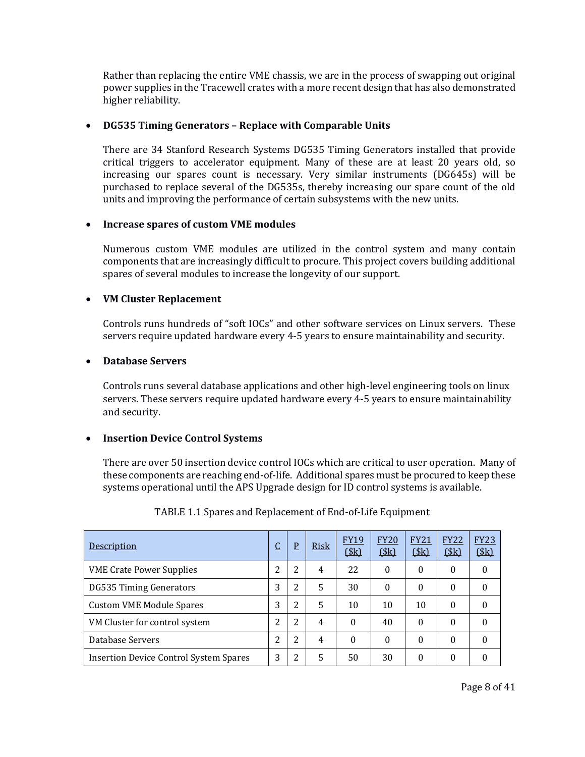Rather than replacing the entire VME chassis, we are in the process of swapping out original power supplies in the Tracewell crates with a more recent design that has also demonstrated higher reliability.

#### • **DG535 Timing Generators – Replace with Comparable Units**

There are 34 Stanford Research Systems DG535 Timing Generators installed that provide critical triggers to accelerator equipment. Many of these are at least 20 years old, so increasing our spares count is necessary. Very similar instruments (DG645s) will be purchased to replace several of the DG535s, thereby increasing our spare count of the old units and improving the performance of certain subsystems with the new units.

#### • **Increase spares of custom VME modules**

Numerous custom VME modules are utilized in the control system and many contain components that are increasingly difficult to procure. This project covers building additional spares of several modules to increase the longevity of our support.

### • **VM Cluster Replacement**

Controls runs hundreds of "soft IOCs" and other software services on Linux servers. These servers require updated hardware every 4-5 years to ensure maintainability and security.

#### • **Database Servers**

Controls runs several database applications and other high-level engineering tools on linux servers. These servers require updated hardware every 4-5 years to ensure maintainability and security.

#### • **Insertion Device Control Systems**

There are over 50 insertion device control IOCs which are critical to user operation. Many of these components are reaching end-of-life. Additional spares must be procured to keep these systems operational until the APS Upgrade design for ID control systems is available.

| Description                                   | J | P | <b>Risk</b> | <b>FY19</b><br>(\$k) | <b>FY20</b><br>\$k\$ | <b>FY21</b><br>\$k\$ | <b>FY22</b><br>\$k\$ | <b>FY23</b><br>\$k\$ |
|-----------------------------------------------|---|---|-------------|----------------------|----------------------|----------------------|----------------------|----------------------|
| <b>VME Crate Power Supplies</b>               | 2 | 2 | 4           | 22                   | $\Omega$             | 0                    | $\Omega$             | 0                    |
| <b>DG535 Timing Generators</b>                | 3 | 2 | .5          | 30                   | $\Omega$             | 0                    | $\Omega$             | 0                    |
| <b>Custom VME Module Spares</b>               | 3 | 2 | .5          | 10                   | 10                   | 10                   | $\theta$             | 0                    |
| VM Cluster for control system                 | າ | 2 | 4           | $\theta$             | 40                   | 0                    | $\theta$             | 0                    |
| Database Servers                              | 2 | 2 | 4           | 0                    | $\Omega$             | 0                    | $\Omega$             | 0                    |
| <b>Insertion Device Control System Spares</b> | 3 | 2 | 5           | 50                   | 30                   | 0                    | $\Omega$             | 0                    |

# TABLE 1.1 Spares and Replacement of End-of-Life Equipment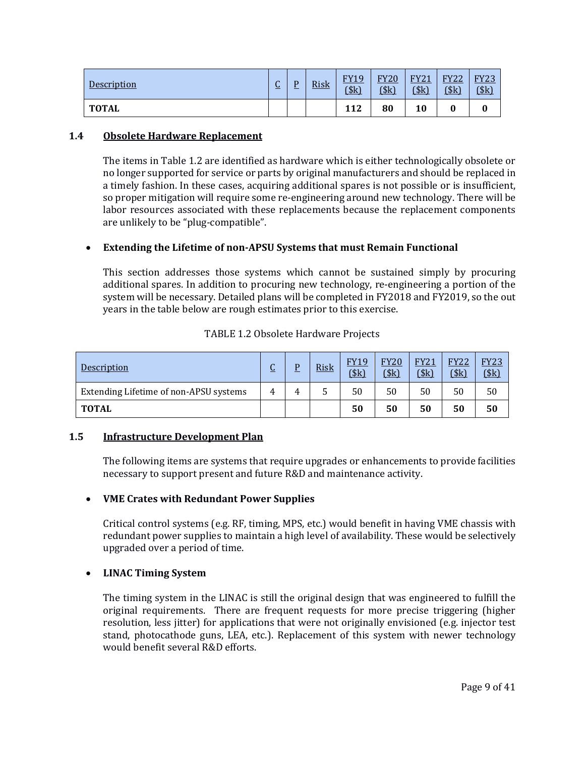| <b>Description</b> | $\sqrt{2}$<br><u>u</u> | D<br>÷ | <b>Risk</b> | FY19<br>$ -$<br>(\$k) | <b>FY20</b><br>\$k\$ | <b>FY21</b><br>(\$k) | <b>FY22</b><br>\$k\$ | <b>FY23</b><br>(\$k) |
|--------------------|------------------------|--------|-------------|-----------------------|----------------------|----------------------|----------------------|----------------------|
| <b>TOTAL</b>       |                        |        |             | 112                   | 80                   | 10                   |                      |                      |

#### **1.4 Obsolete Hardware Replacement**

The items in Table 1.2 are identified as hardware which is either technologically obsolete or no longer supported for service or parts by original manufacturers and should be replaced in a timely fashion. In these cases, acquiring additional spares is not possible or is insufficient, so proper mitigation will require some re-engineering around new technology. There will be labor resources associated with these replacements because the replacement components are unlikely to be "plug-compatible".

# • **Extending the Lifetime of non-APSU Systems that must Remain Functional**

This section addresses those systems which cannot be sustained simply by procuring additional spares. In addition to procuring new technology, re-engineering a portion of the system will be necessary. Detailed plans will be completed in FY2018 and FY2019, so the out years in the table below are rough estimates prior to this exercise.

| Description                            | ⌒<br>U | D | <b>Risk</b> | <b>FY19</b><br>(\$k) | <b>FY20</b><br>\$ | <b>FY21</b><br>(\$k) | <b>FY22</b><br>\$k\$ | <b>FY23</b><br>(\$k) |
|----------------------------------------|--------|---|-------------|----------------------|-------------------|----------------------|----------------------|----------------------|
| Extending Lifetime of non-APSU systems | 4      | 4 |             | 50                   | 50                | 50                   | 50                   | 50                   |
| <b>TOTAL</b>                           |        |   |             | 50                   | 50                | 50                   | 50                   | 50                   |

#### TABLE 1.2 Obsolete Hardware Projects

#### **1.5 Infrastructure Development Plan**

The following items are systems that require upgrades or enhancements to provide facilities necessary to support present and future R&D and maintenance activity.

# • **VME Crates with Redundant Power Supplies**

Critical control systems (e.g. RF, timing, MPS, etc.) would benefit in having VME chassis with redundant power supplies to maintain a high level of availability. These would be selectively upgraded over a period of time.

#### • **LINAC Timing System**

The timing system in the LINAC is still the original design that was engineered to fulfill the original requirements. There are frequent requests for more precise triggering (higher resolution, less jitter) for applications that were not originally envisioned (e.g. injector test stand, photocathode guns, LEA, etc.). Replacement of this system with newer technology would benefit several R&D efforts.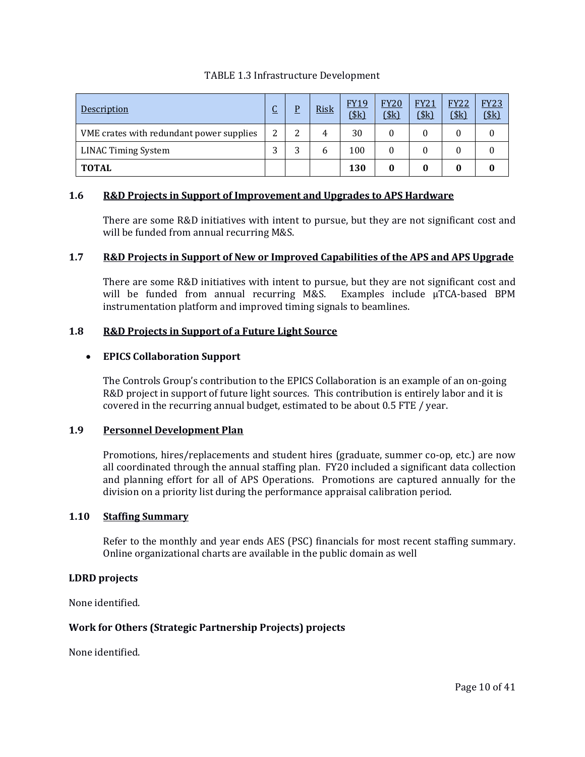| Description                              | C<br><u>u</u> | P      | <b>Risk</b> | <b>FY19</b><br>$($ \$k $)$ | <b>FY20</b><br>(\$k) | <b>FY21</b><br>(\$k) | <b>FY22</b><br>(\$k) | <b>FY23</b><br>$($ \$k $)$ |
|------------------------------------------|---------------|--------|-------------|----------------------------|----------------------|----------------------|----------------------|----------------------------|
| VME crates with redundant power supplies | 2             | っ<br>▵ |             | 30                         | 0                    | 0                    |                      |                            |
| <b>LINAC Timing System</b>               | 3             | 3      | h           | 100                        | 0                    |                      |                      |                            |
| <b>TOTAL</b>                             |               |        |             | 130                        |                      | 0                    | 0                    |                            |

# TABLE 1.3 Infrastructure Development

#### **1.6 R&D Projects in Support of Improvement and Upgrades to APS Hardware**

There are some R&D initiatives with intent to pursue, but they are not significant cost and will be funded from annual recurring M&S.

### **1.7 R&D Projects in Support of New or Improved Capabilities of the APS and APS Upgrade**

There are some R&D initiatives with intent to pursue, but they are not significant cost and will be funded from annual recurring M&S. Examples include  $\mu$ TCA-based BPM will be funded from annual recurring M&S. instrumentation platform and improved timing signals to beamlines.

### **1.8 R&D Projects in Support of a Future Light Source**

### • **EPICS Collaboration Support**

The Controls Group's contribution to the EPICS Collaboration is an example of an on-going R&D project in support of future light sources. This contribution is entirely labor and it is covered in the recurring annual budget, estimated to be about 0.5 FTE / year.

#### **1.9 Personnel Development Plan**

Promotions, hires/replacements and student hires (graduate, summer co-op, etc.) are now all coordinated through the annual staffing plan. FY20 included a significant data collection and planning effort for all of APS Operations. Promotions are captured annually for the division on a priority list during the performance appraisal calibration period.

#### **1.10 Staffing Summary**

Refer to the monthly and year ends AES (PSC) financials for most recent staffing summary. Online organizational charts are available in the public domain as well

# **LDRD projects**

None identified.

# **Work for Others (Strategic Partnership Projects) projects**

None identified.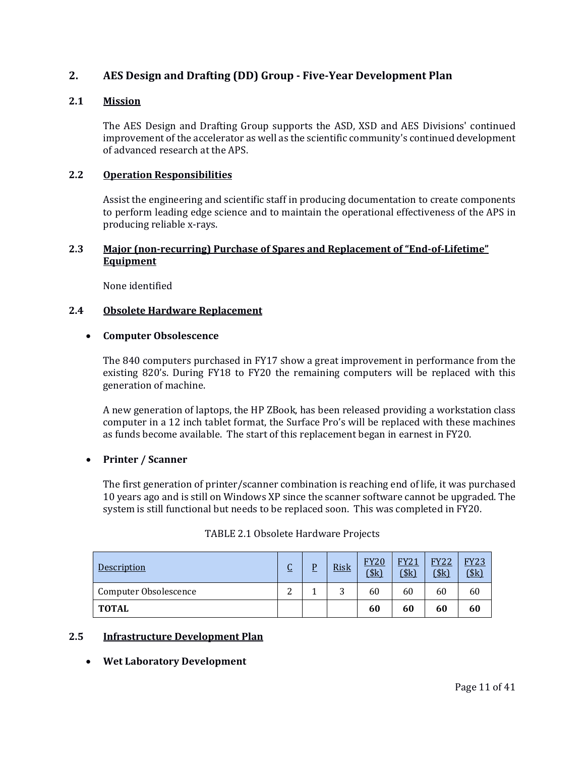# **2. AES Design and Drafting (DD) Group - Five-Year Development Plan**

# **2.1 Mission**

The AES Design and Drafting Group supports the ASD, XSD and AES Divisions' continued improvement of the accelerator as well as the scientific community's continued development of advanced research at the APS.

#### **2.2 Operation Responsibilities**

Assist the engineering and scientific staff in producing documentation to create components to perform leading edge science and to maintain the operational effectiveness of the APS in producing reliable x-rays.

# **2.3 Major (non-recurring) Purchase of Spares and Replacement of "End-of-Lifetime" Equipment**

None identified

#### **2.4 Obsolete Hardware Replacement**

#### • **Computer Obsolescence**

The 840 computers purchased in FY17 show a great improvement in performance from the existing 820's. During FY18 to FY20 the remaining computers will be replaced with this generation of machine.

A new generation of laptops, the HP ZBook, has been released providing a workstation class computer in a 12 inch tablet format, the Surface Pro's will be replaced with these machines as funds become available. The start of this replacement began in earnest in FY20.

#### • **Printer / Scanner**

The first generation of printer/scanner combination is reaching end of life, it was purchased 10 years ago and is still on Windows XP since the scanner software cannot be upgraded. The system is still functional but needs to be replaced soon. This was completed in FY20.

| Description           | $\sqrt{ }$<br>U | <b>Risk</b> | <b>FY20</b><br>\$k\$ | <b>FY21</b><br>\$k\$ | <b>FY22</b><br>\$k\$ | <b>FY23</b><br>\$k\$ |
|-----------------------|-----------------|-------------|----------------------|----------------------|----------------------|----------------------|
| Computer Obsolescence | ົ<br>∸          | ົ<br>ັ      | 60                   | 60                   | 60                   | 60                   |
| <b>TOTAL</b>          |                 |             | 60                   | 60                   | 60                   | 60                   |

#### TABLE 2.1 Obsolete Hardware Projects

#### **2.5 Infrastructure Development Plan**

#### • **Wet Laboratory Development**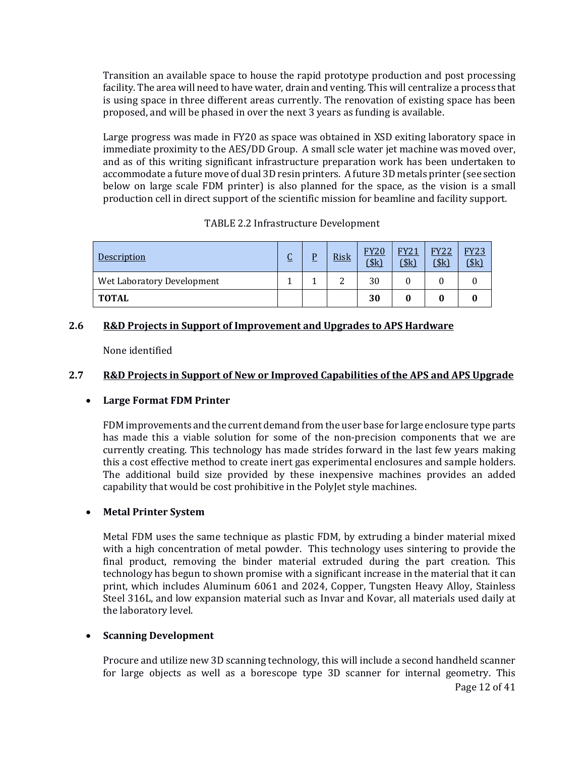Transition an available space to house the rapid prototype production and post processing facility. The area will need to have water, drain and venting. This will centralize a process that is using space in three different areas currently. The renovation of existing space has been proposed, and will be phased in over the next 3 years as funding is available.

Large progress was made in FY20 as space was obtained in XSD exiting laboratory space in immediate proximity to the AES/DD Group. A small scle water jet machine was moved over, and as of this writing significant infrastructure preparation work has been undertaken to accommodate a future move of dual 3D resin printers. A future 3D metals printer (see section below on large scale FDM printer) is also planned for the space, as the vision is a small production cell in direct support of the scientific mission for beamline and facility support.

| Description                | <u>u</u> | D | <b>Risk</b> | <b>FY20</b><br>$($ \$k $)$ | <b>FY21</b><br>(\$k) | <b>FY22</b><br>\$k\$ | <b>FY23</b><br>\$k\$ |
|----------------------------|----------|---|-------------|----------------------------|----------------------|----------------------|----------------------|
| Wet Laboratory Development |          |   | ົ           | 30                         |                      |                      |                      |
| <b>TOTAL</b>               |          |   |             | 30                         |                      |                      |                      |

# TABLE 2.2 Infrastructure Development

### **2.6 R&D Projects in Support of Improvement and Upgrades to APS Hardware**

None identified

### **2.7 R&D Projects in Support of New or Improved Capabilities of the APS and APS Upgrade**

# • **Large Format FDM Printer**

FDM improvements and the current demand from the user base for large enclosure type parts has made this a viable solution for some of the non-precision components that we are currently creating. This technology has made strides forward in the last few years making this a cost effective method to create inert gas experimental enclosures and sample holders. The additional build size provided by these inexpensive machines provides an added capability that would be cost prohibitive in the PolyJet style machines.

# • **Metal Printer System**

Metal FDM uses the same technique as plastic FDM, by extruding a binder material mixed with a high concentration of metal powder. This technology uses sintering to provide the final product, removing the binder material extruded during the part creation. This technology has begun to shown promise with a significant increase in the material that it can print, which includes Aluminum 6061 and 2024, Copper, Tungsten Heavy Alloy, Stainless Steel 316L, and low expansion material such as Invar and Kovar, all materials used daily at the laboratory level.

#### • **Scanning Development**

Procure and utilize new 3D scanning technology, this will include a second handheld scanner for large objects as well as a borescope type 3D scanner for internal geometry. This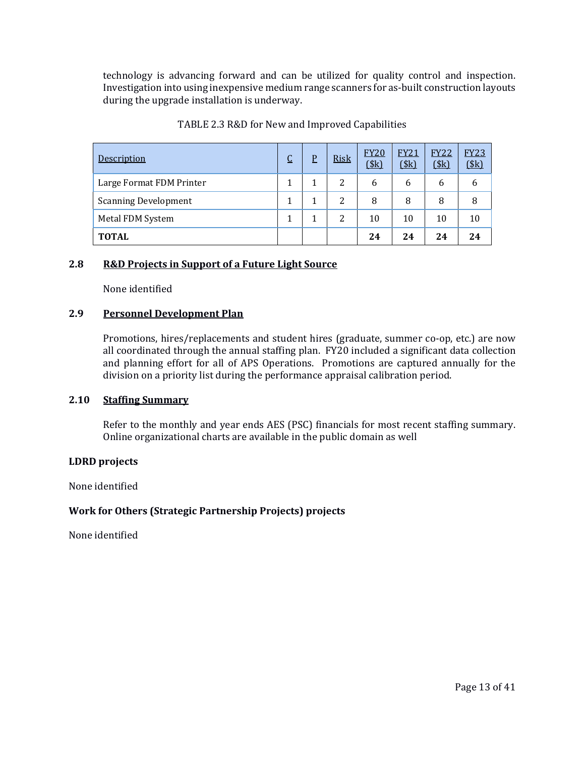technology is advancing forward and can be utilized for quality control and inspection. Investigation into using inexpensive medium range scanners for as-built construction layouts during the upgrade installation is underway.

| Description                 | $\overline{\mathsf{C}}$ | $\overline{P}$ | <b>Risk</b> | <b>FY20</b><br>(\$k) | <b>FY21</b><br>(\$k) | <b>FY22</b><br>(\$k) | <b>FY23</b><br>(\$k) |
|-----------------------------|-------------------------|----------------|-------------|----------------------|----------------------|----------------------|----------------------|
| Large Format FDM Printer    |                         |                | 2           | 6                    | 6                    | 6                    | 6                    |
| <b>Scanning Development</b> |                         |                | 2           | 8                    | 8                    | 8                    | 8                    |
| Metal FDM System            |                         |                | 2           | 10                   | 10                   | 10                   | 10                   |
| <b>TOTAL</b>                |                         |                |             | 24                   | 24                   | 24                   | 24                   |

### TABLE 2.3 R&D for New and Improved Capabilities

#### **2.8 R&D Projects in Support of a Future Light Source**

None identified

### **2.9 Personnel Development Plan**

Promotions, hires/replacements and student hires (graduate, summer co-op, etc.) are now all coordinated through the annual staffing plan. FY20 included a significant data collection and planning effort for all of APS Operations. Promotions are captured annually for the division on a priority list during the performance appraisal calibration period.

#### **2.10 Staffing Summary**

Refer to the monthly and year ends AES (PSC) financials for most recent staffing summary. Online organizational charts are available in the public domain as well

#### **LDRD projects**

None identified

# **Work for Others (Strategic Partnership Projects) projects**

None identified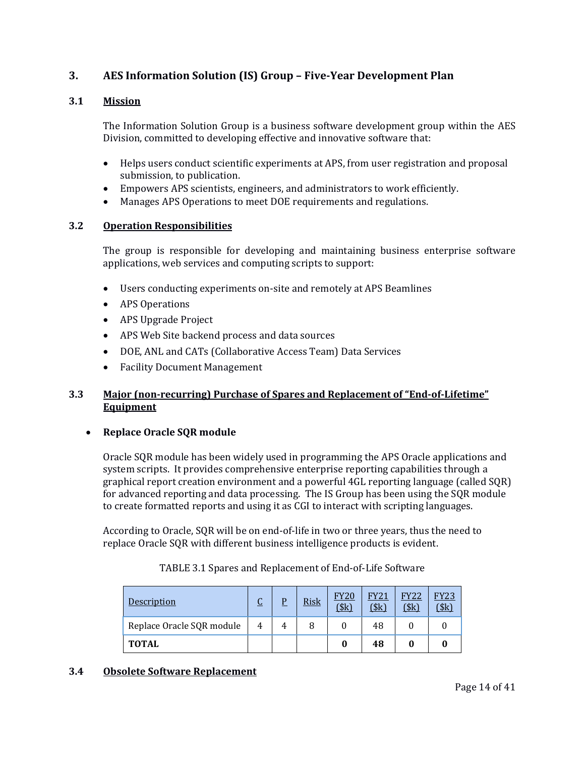# **3. AES Information Solution (IS) Group – Five-Year Development Plan**

# **3.1 Mission**

The Information Solution Group is a business software development group within the AES Division, committed to developing effective and innovative software that:

- Helps users conduct scientific experiments at APS, from user registration and proposal submission, to publication.
- Empowers APS scientists, engineers, and administrators to work efficiently.
- Manages APS Operations to meet DOE requirements and regulations.

### **3.2 Operation Responsibilities**

The group is responsible for developing and maintaining business enterprise software applications, web services and computing scripts to support:

- Users conducting experiments on-site and remotely at APS Beamlines
- APS Operations
- APS Upgrade Project
- APS Web Site backend process and data sources
- DOE, ANL and CATs (Collaborative Access Team) Data Services
- Facility Document Management

# **3.3 Major (non-recurring) Purchase of Spares and Replacement of "End-of-Lifetime" Equipment**

#### • **Replace Oracle SQR module**

Oracle SQR module has been widely used in programming the APS Oracle applications and system scripts. It provides comprehensive enterprise reporting capabilities through a graphical report creation environment and a powerful 4GL reporting language (called SQR) for advanced reporting and data processing. The IS Group has been using the SQR module to create formatted reports and using it as CGI to interact with scripting languages.

According to Oracle, SQR will be on end-of-life in two or three years, thus the need to replace Oracle SQR with different business intelligence products is evident.

| Description               |   | D | <b>Risk</b> | <b>FY20</b><br>\$k\$ | <b>FY21</b><br>\$k\$ | <b>FY22</b><br>(\$k) | <b>FY23</b><br>\$k\$ |
|---------------------------|---|---|-------------|----------------------|----------------------|----------------------|----------------------|
| Replace Oracle SQR module | 4 |   |             |                      | 48                   |                      |                      |
| <b>TOTAL</b>              |   |   |             |                      | 48                   |                      |                      |

# TABLE 3.1 Spares and Replacement of End-of-Life Software

#### **3.4 Obsolete Software Replacement**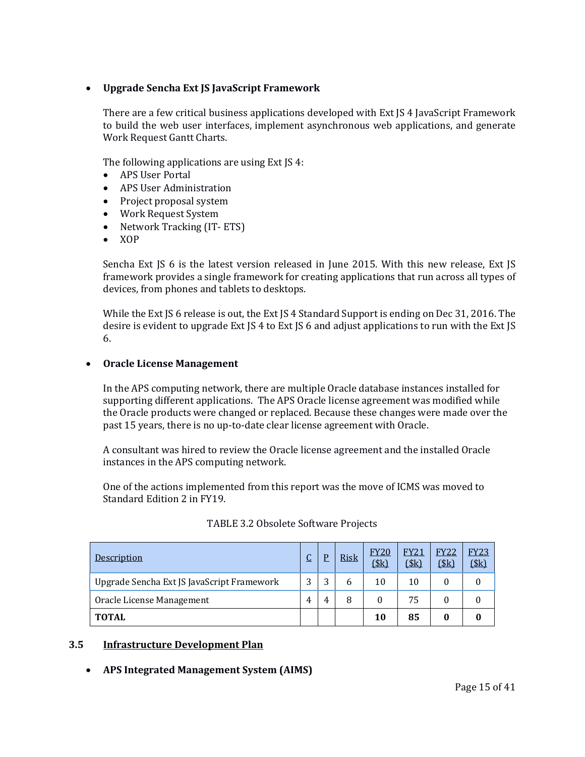# • **Upgrade Sencha Ext JS JavaScript Framework**

There are a few critical business applications developed with Ext JS 4 JavaScript Framework to build the web user interfaces, implement asynchronous web applications, and generate Work Request Gantt Charts.

The following applications are using Ext JS 4:

- APS User Portal
- APS User Administration
- Project proposal system
- Work Request System
- Network Tracking (IT-ETS)
- XOP

Sencha Ext JS 6 is the latest version released in June 2015. With this new release, Ext JS framework provides a single framework for creating applications that run across all types of devices, from phones and tablets to desktops.

While the Ext JS 6 release is out, the Ext JS 4 Standard Support is ending on Dec 31, 2016. The desire is evident to upgrade Ext JS 4 to Ext JS 6 and adjust applications to run with the Ext JS 6.

#### • **Oracle License Management**

In the APS computing network, there are multiple Oracle database instances installed for supporting different applications. The APS Oracle license agreement was modified while the Oracle products were changed or replaced. Because these changes were made over the past 15 years, there is no up-to-date clear license agreement with Oracle.

A consultant was hired to review the Oracle license agreement and the installed Oracle instances in the APS computing network.

One of the actions implemented from this report was the move of ICMS was moved to Standard Edition 2 in FY19.

| Description                                | $\overline{C}$ |   | <b>Risk</b> | <b>FY20</b><br>\$k\$ | <b>FY21</b><br>\$k\$ | <b>FY22</b><br>(\$k) | <b>FY23</b><br>\$k\$ |
|--------------------------------------------|----------------|---|-------------|----------------------|----------------------|----------------------|----------------------|
| Upgrade Sencha Ext JS JavaScript Framework | 3              | 2 | 6           | 10                   | 10                   |                      |                      |
| Oracle License Management                  | 4              | 4 | 8           | 0                    | 75                   |                      |                      |
| <b>TOTAL</b>                               |                |   |             | 10                   | 85                   |                      |                      |

| TABLE 3.2 Obsolete Software Projects |  |
|--------------------------------------|--|
|--------------------------------------|--|

#### **3.5 Infrastructure Development Plan**

#### • **APS Integrated Management System (AIMS)**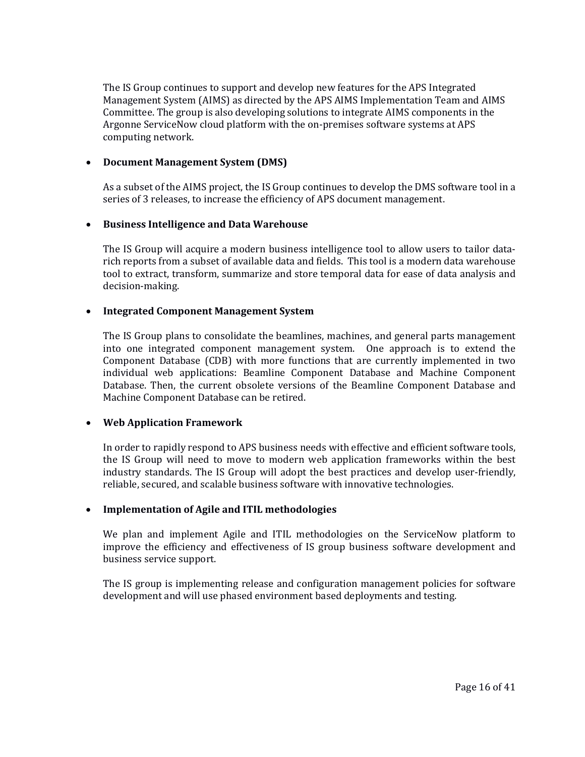The IS Group continues to support and develop new features for the APS Integrated Management System (AIMS) as directed by the APS AIMS Implementation Team and AIMS Committee. The group is also developing solutions to integrate AIMS components in the Argonne ServiceNow cloud platform with the on-premises software systems at APS computing network.

#### • **Document Management System (DMS)**

As a subset of the AIMS project, the IS Group continues to develop the DMS software tool in a series of 3 releases, to increase the efficiency of APS document management.

### • **Business Intelligence and Data Warehouse**

The IS Group will acquire a modern business intelligence tool to allow users to tailor datarich reports from a subset of available data and fields. This tool is a modern data warehouse tool to extract, transform, summarize and store temporal data for ease of data analysis and decision-making.

### • **Integrated Component Management System**

The IS Group plans to consolidate the beamlines, machines, and general parts management into one integrated component management system. One approach is to extend the Component Database (CDB) with more functions that are currently implemented in two individual web applications: Beamline Component Database and Machine Component Database. Then, the current obsolete versions of the Beamline Component Database and Machine Component Database can be retired.

#### • **Web Application Framework**

In order to rapidly respond to APS business needs with effective and efficient software tools, the IS Group will need to move to modern web application frameworks within the best industry standards. The IS Group will adopt the best practices and develop user-friendly, reliable, secured, and scalable business software with innovative technologies.

#### • **Implementation of Agile and ITIL methodologies**

We plan and implement Agile and ITIL methodologies on the ServiceNow platform to improve the efficiency and effectiveness of IS group business software development and business service support.

The IS group is implementing release and configuration management policies for software development and will use phased environment based deployments and testing.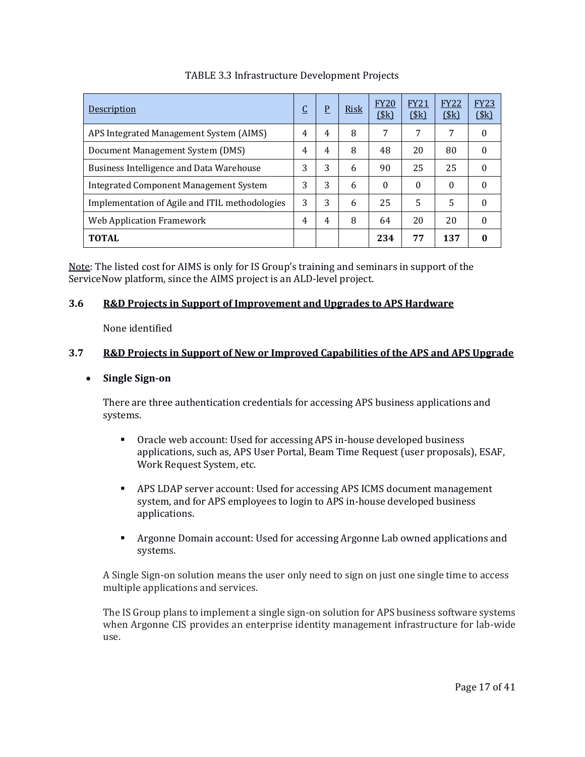| Description                                     | <u>يا</u> | P | Risk | <b>FY20</b><br>(\$k) | <b>FY21</b><br>\$k\$ | <b>FY22</b><br>\$k\$ | <b>FY23</b><br>\$k\$ |
|-------------------------------------------------|-----------|---|------|----------------------|----------------------|----------------------|----------------------|
| APS Integrated Management System (AIMS)         | 4         | 4 | 8    | 7                    | 7                    | 7                    | $\Omega$             |
| Document Management System (DMS)                | 4         | 4 | 8    | 48                   | 20                   | 80                   | $\Omega$             |
| <b>Business Intelligence and Data Warehouse</b> | 3         | 3 | 6    | 90                   | 25                   | 25                   | $\theta$             |
| <b>Integrated Component Management System</b>   | 3         | 3 | 6    | $\theta$             | $\Omega$             | $\theta$             | $\theta$             |
| Implementation of Agile and ITIL methodologies  | 3         | 3 | 6    | 25                   | 5                    | 5                    | $\theta$             |
| Web Application Framework                       | 4         | 4 | 8    | 64                   | 20                   | 20                   | $\Omega$             |
| <b>TOTAL</b>                                    |           |   |      | 234                  | 77                   | 137                  | 0                    |

# TABLE 3.3 Infrastructure Development Projects

Note: The listed cost for AIMS is only for IS Group's training and seminars in support of the ServiceNow platform, since the AIMS project is an ALD-level project.

# **3.6 R&D Projects in Support of Improvement and Upgrades to APS Hardware**

None identified

# **3.7 R&D Projects in Support of New or Improved Capabilities of the APS and APS Upgrade**

# • **Single Sign-on**

There are three authentication credentials for accessing APS business applications and systems.

- Oracle web account: Used for accessing APS in-house developed business applications, such as, APS User Portal, Beam Time Request (user proposals), ESAF, Work Request System, etc.
- APS LDAP server account: Used for accessing APS ICMS document management system, and for APS employees to login to APS in-house developed business applications.
- Argonne Domain account: Used for accessing Argonne Lab owned applications and systems.

A Single Sign-on solution means the user only need to sign on just one single time to access multiple applications and services.

The IS Group plans to implement a single sign-on solution for APS business software systems when Argonne CIS provides an enterprise identity management infrastructure for lab-wide use.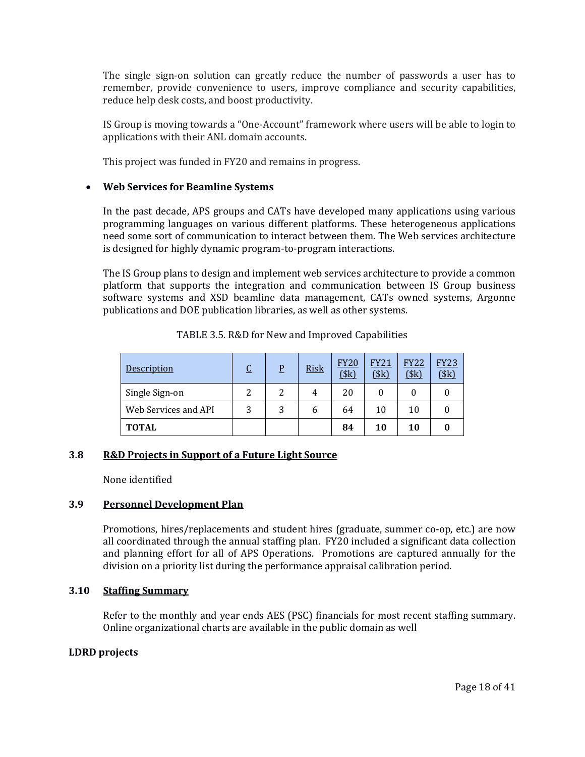The single sign-on solution can greatly reduce the number of passwords a user has to remember, provide convenience to users, improve compliance and security capabilities, reduce help desk costs, and boost productivity.

IS Group is moving towards a "One-Account" framework where users will be able to login to applications with their ANL domain accounts.

This project was funded in FY20 and remains in progress.

### • **Web Services for Beamline Systems**

In the past decade, APS groups and CATs have developed many applications using various programming languages on various different platforms. These heterogeneous applications need some sort of communication to interact between them. The Web services architecture is designed for highly dynamic program-to-program interactions.

The IS Group plans to design and implement web services architecture to provide a common platform that supports the integration and communication between IS Group business software systems and XSD beamline data management, CATs owned systems, Argonne publications and DOE publication libraries, as well as other systems.

| <b>Description</b>   | $\overline{\mathsf{C}}$ | P | <b>Risk</b> | <b>FY20</b><br>(\$k) | <b>FY21</b><br>(\$k) | <b>FY22</b><br>\$k\$ | <b>FY23</b><br>(\$k) |
|----------------------|-------------------------|---|-------------|----------------------|----------------------|----------------------|----------------------|
| Single Sign-on       |                         |   | 4           | 20                   |                      |                      |                      |
| Web Services and API | 3                       |   | b           | 64                   | 10                   | 10                   |                      |
| <b>TOTAL</b>         |                         |   |             | 84                   | 10                   | 10                   |                      |

TABLE 3.5. R&D for New and Improved Capabilities

# **3.8 R&D Projects in Support of a Future Light Source**

None identified

# **3.9 Personnel Development Plan**

Promotions, hires/replacements and student hires (graduate, summer co-op, etc.) are now all coordinated through the annual staffing plan. FY20 included a significant data collection and planning effort for all of APS Operations. Promotions are captured annually for the division on a priority list during the performance appraisal calibration period.

#### **3.10 Staffing Summary**

Refer to the monthly and year ends AES (PSC) financials for most recent staffing summary. Online organizational charts are available in the public domain as well

#### **LDRD projects**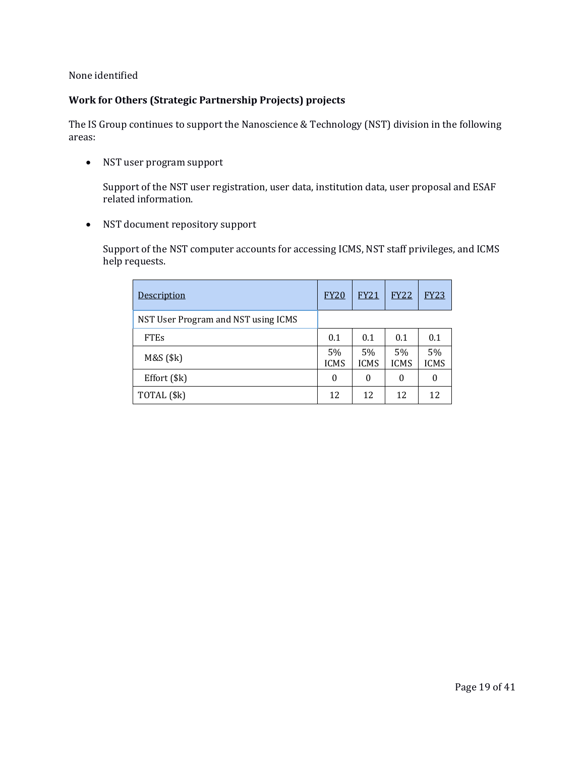None identified

### **Work for Others (Strategic Partnership Projects) projects**

The IS Group continues to support the Nanoscience & Technology (NST) division in the following areas:

• NST user program support

Support of the NST user registration, user data, institution data, user proposal and ESAF related information.

• NST document repository support

Support of the NST computer accounts for accessing ICMS, NST staff privileges, and ICMS help requests.

| Description                         | <b>FY20</b>       | <b>FY21</b>       | <b>FY22</b>       | <b>FY23</b>       |
|-------------------------------------|-------------------|-------------------|-------------------|-------------------|
| NST User Program and NST using ICMS |                   |                   |                   |                   |
| <b>FTEs</b>                         | 0.1               | 0.1               | 0.1               | 0.1               |
| M&S (\$k)                           | 5%<br><b>ICMS</b> | 5%<br><b>ICMS</b> | 5%<br><b>ICMS</b> | 5%<br><b>ICMS</b> |
| Effort (\$k)                        | 0                 | 0                 | 0                 | 0                 |
| TOTAL (\$k)                         | 12                | 12                | 12                | 12                |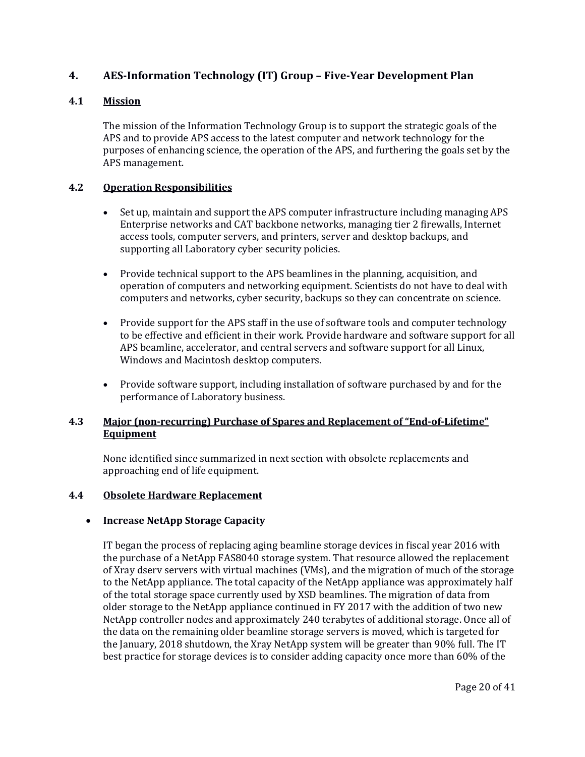# **4. AES-Information Technology (IT) Group – Five-Year Development Plan**

# **4.1 Mission**

The mission of the Information Technology Group is to support the strategic goals of the APS and to provide APS access to the latest computer and network technology for the purposes of enhancing science, the operation of the APS, and furthering the goals set by the APS management.

### **4.2 Operation Responsibilities**

- Set up, maintain and support the APS computer infrastructure including managing APS Enterprise networks and CAT backbone networks, managing tier 2 firewalls, Internet access tools, computer servers, and printers, server and desktop backups, and supporting all Laboratory cyber security policies.
- Provide technical support to the APS beamlines in the planning, acquisition, and operation of computers and networking equipment. Scientists do not have to deal with computers and networks, cyber security, backups so they can concentrate on science.
- Provide support for the APS staff in the use of software tools and computer technology to be effective and efficient in their work. Provide hardware and software support for all APS beamline, accelerator, and central servers and software support for all Linux, Windows and Macintosh desktop computers.
- Provide software support, including installation of software purchased by and for the performance of Laboratory business.

# **4.3 Major (non-recurring) Purchase of Spares and Replacement of "End-of-Lifetime" Equipment**

None identified since summarized in next section with obsolete replacements and approaching end of life equipment.

#### **4.4 Obsolete Hardware Replacement**

# • **Increase NetApp Storage Capacity**

IT began the process of replacing aging beamline storage devices in fiscal year 2016 with the purchase of a NetApp FAS8040 storage system. That resource allowed the replacement of Xray dserv servers with virtual machines (VMs), and the migration of much of the storage to the NetApp appliance. The total capacity of the NetApp appliance was approximately half of the total storage space currently used by XSD beamlines. The migration of data from older storage to the NetApp appliance continued in FY 2017 with the addition of two new NetApp controller nodes and approximately 240 terabytes of additional storage. Once all of the data on the remaining older beamline storage servers is moved, which is targeted for the January, 2018 shutdown, the Xray NetApp system will be greater than 90% full. The IT best practice for storage devices is to consider adding capacity once more than 60% of the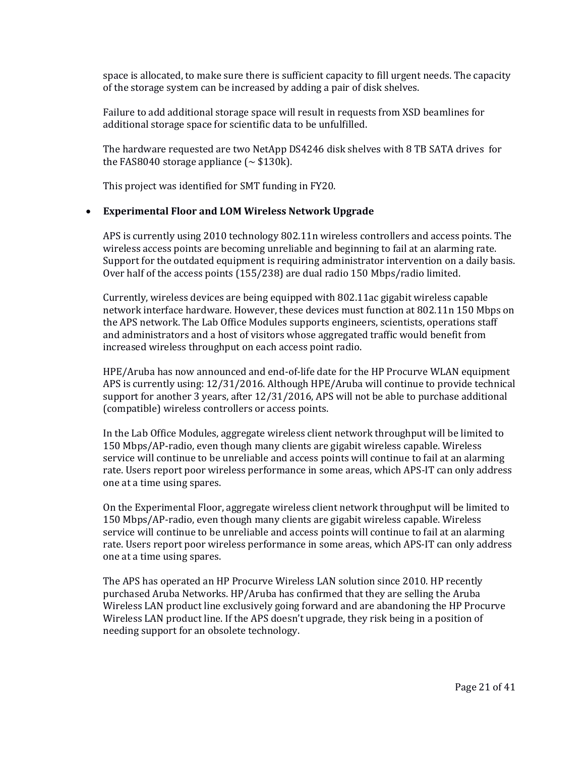space is allocated, to make sure there is sufficient capacity to fill urgent needs. The capacity of the storage system can be increased by adding a pair of disk shelves.

Failure to add additional storage space will result in requests from XSD beamlines for additional storage space for scientific data to be unfulfilled.

The hardware requested are two NetApp DS4246 disk shelves with 8 TB SATA drives for the FAS8040 storage appliance  $(\sim $130k)$ .

This project was identified for SMT funding in FY20.

#### • **Experimental Floor and LOM Wireless Network Upgrade**

APS is currently using 2010 technology 802.11n wireless controllers and access points. The wireless access points are becoming unreliable and beginning to fail at an alarming rate. Support for the outdated equipment is requiring administrator intervention on a daily basis. Over half of the access points (155/238) are dual radio 150 Mbps/radio limited.

Currently, wireless devices are being equipped with 802.11ac gigabit wireless capable network interface hardware. However, these devices must function at 802.11n 150 Mbps on the APS network. The Lab Office Modules supports engineers, scientists, operations staff and administrators and a host of visitors whose aggregated traffic would benefit from increased wireless throughput on each access point radio.

HPE/Aruba has now announced and end-of-life date for the HP Procurve WLAN equipment APS is currently using: 12/31/2016. Although HPE/Aruba will continue to provide technical support for another 3 years, after 12/31/2016, APS will not be able to purchase additional (compatible) wireless controllers or access points.

In the Lab Office Modules, aggregate wireless client network throughput will be limited to 150 Mbps/AP-radio, even though many clients are gigabit wireless capable. Wireless service will continue to be unreliable and access points will continue to fail at an alarming rate. Users report poor wireless performance in some areas, which APS-IT can only address one at a time using spares.

On the Experimental Floor, aggregate wireless client network throughput will be limited to 150 Mbps/AP-radio, even though many clients are gigabit wireless capable. Wireless service will continue to be unreliable and access points will continue to fail at an alarming rate. Users report poor wireless performance in some areas, which APS-IT can only address one at a time using spares.

The APS has operated an HP Procurve Wireless LAN solution since 2010. HP recently purchased Aruba Networks. HP/Aruba has confirmed that they are selling the Aruba Wireless LAN product line exclusively going forward and are abandoning the HP Procurve Wireless LAN product line. If the APS doesn't upgrade, they risk being in a position of needing support for an obsolete technology.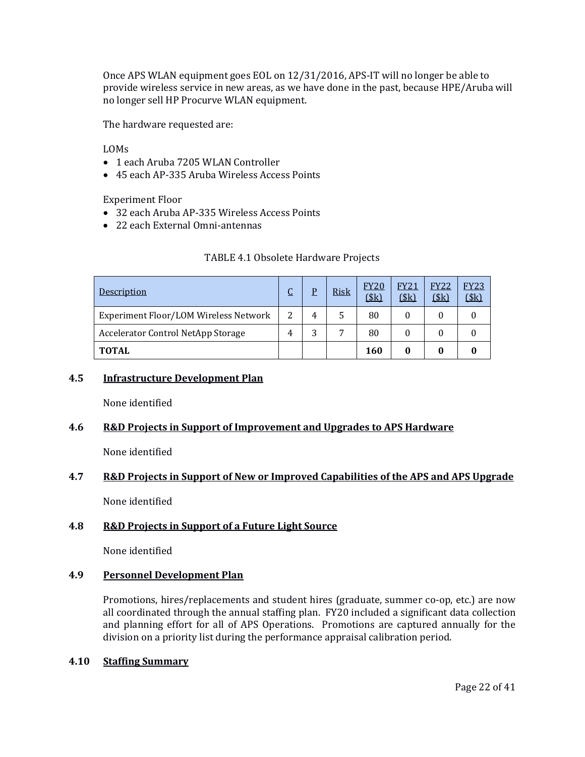Once APS WLAN equipment goes EOL on 12/31/2016, APS-IT will no longer be able to provide wireless service in new areas, as we have done in the past, because HPE/Aruba will no longer sell HP Procurve WLAN equipment.

The hardware requested are:

LOMs

- 1 each Aruba 7205 WLAN Controller
- 45 each AP-335 Aruba Wireless Access Points

Experiment Floor

- 32 each Aruba AP-335 Wireless Access Points
- 22 each External Omni-antennas

| <u>Description</u>                    |               | p | <b>Risk</b> | <b>FY20</b><br>$$\left($ $\frac{1}{2}k\right)$ | <b>FY21</b><br>\$k\$ | <b>FY22</b><br>(\$k) | <b>FY23</b><br>\$k] |
|---------------------------------------|---------------|---|-------------|------------------------------------------------|----------------------|----------------------|---------------------|
| Experiment Floor/LOM Wireless Network | $\mathcal{P}$ | 4 |             | 80                                             |                      |                      |                     |
| Accelerator Control NetApp Storage    |               | 3 |             | 80                                             |                      |                      |                     |
| <b>TOTAL</b>                          |               |   |             | 160                                            |                      |                      |                     |

### **4.5 Infrastructure Development Plan**

None identified

#### **4.6 R&D Projects in Support of Improvement and Upgrades to APS Hardware**

None identified

# **4.7 R&D Projects in Support of New or Improved Capabilities of the APS and APS Upgrade**

None identified

# **4.8 R&D Projects in Support of a Future Light Source**

None identified

#### **4.9 Personnel Development Plan**

Promotions, hires/replacements and student hires (graduate, summer co-op, etc.) are now all coordinated through the annual staffing plan. FY20 included a significant data collection and planning effort for all of APS Operations. Promotions are captured annually for the division on a priority list during the performance appraisal calibration period.

#### **4.10 Staffing Summary**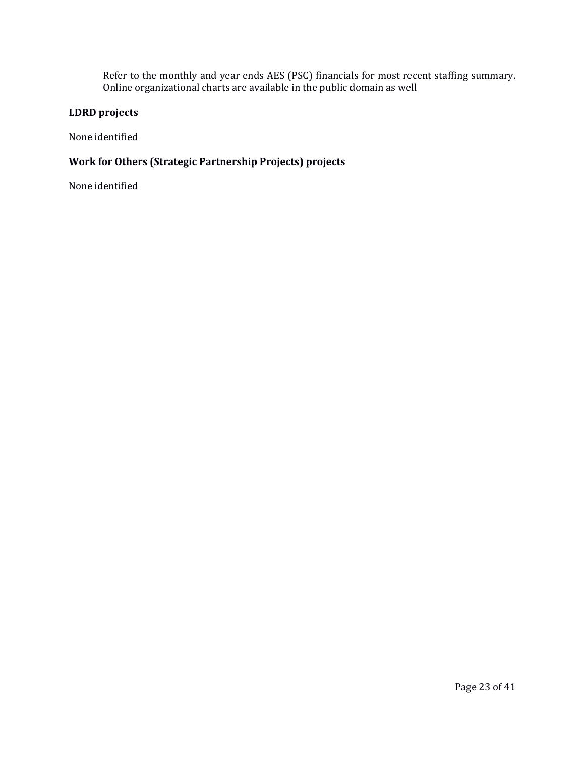Refer to the monthly and year ends AES (PSC) financials for most recent staffing summary. Online organizational charts are available in the public domain as well

# **LDRD projects**

None identified

# **Work for Others (Strategic Partnership Projects) projects**

None identified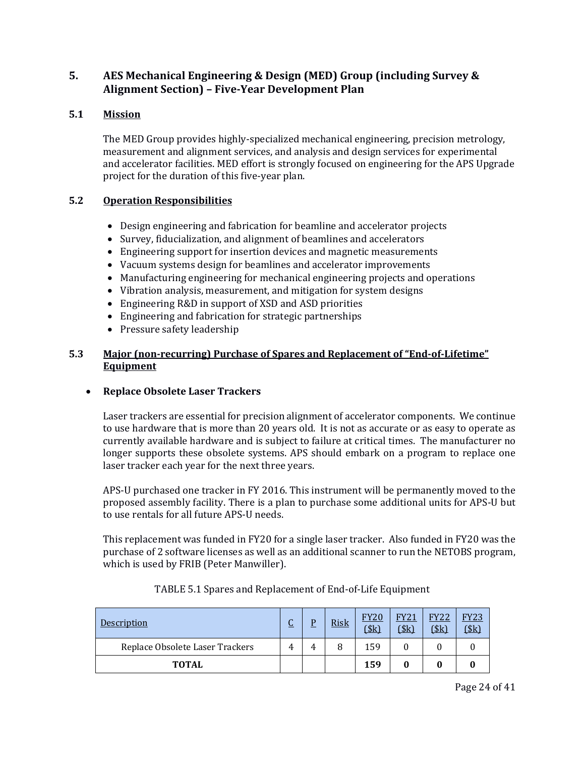# **5. AES Mechanical Engineering & Design (MED) Group (including Survey & Alignment Section) – Five-Year Development Plan**

# **5.1 Mission**

The MED Group provides highly-specialized mechanical engineering, precision metrology, measurement and alignment services, and analysis and design services for experimental and accelerator facilities. MED effort is strongly focused on engineering for the APS Upgrade project for the duration of this five-year plan.

# **5.2 Operation Responsibilities**

- Design engineering and fabrication for beamline and accelerator projects
- Survey, fiducialization, and alignment of beamlines and accelerators
- Engineering support for insertion devices and magnetic measurements
- Vacuum systems design for beamlines and accelerator improvements
- Manufacturing engineering for mechanical engineering projects and operations
- Vibration analysis, measurement, and mitigation for system designs
- Engineering R&D in support of XSD and ASD priorities
- Engineering and fabrication for strategic partnerships
- Pressure safety leadership

# **5.3 Major (non-recurring) Purchase of Spares and Replacement of "End-of-Lifetime" Equipment**

# • **Replace Obsolete Laser Trackers**

Laser trackers are essential for precision alignment of accelerator components. We continue to use hardware that is more than 20 years old. It is not as accurate or as easy to operate as currently available hardware and is subject to failure at critical times. The manufacturer no longer supports these obsolete systems. APS should embark on a program to replace one laser tracker each year for the next three years.

APS-U purchased one tracker in FY 2016. This instrument will be permanently moved to the proposed assembly facility. There is a plan to purchase some additional units for APS-U but to use rentals for all future APS-U needs.

This replacement was funded in FY20 for a single laser tracker. Also funded in FY20 was the purchase of 2 software licenses as well as an additional scanner to run the NETOBS program, which is used by FRIB (Peter Manwiller).

| <b>Description</b>              | $\sqrt{ }$<br><u>u</u> | <b>Risk</b> | <b>FY20</b><br>\$k\$ | <b>FY21</b><br>\$k\$ | <b>FY22</b><br>\$k\$ | FY23<br>$s_{k}$ |
|---------------------------------|------------------------|-------------|----------------------|----------------------|----------------------|-----------------|
| Replace Obsolete Laser Trackers |                        | 8           | 159                  |                      |                      |                 |
| <b>TOTAL</b>                    |                        |             | 159                  |                      |                      |                 |

# TABLE 5.1 Spares and Replacement of End-of-Life Equipment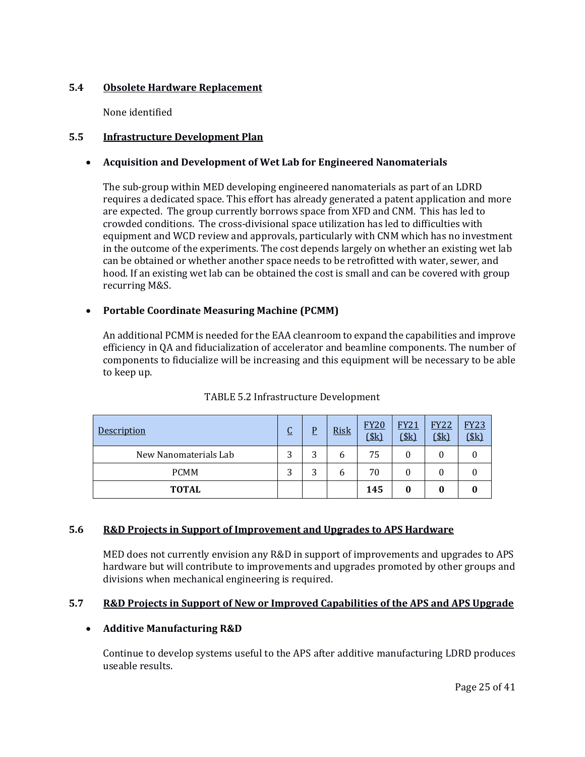# **5.4 Obsolete Hardware Replacement**

None identified

# **5.5 Infrastructure Development Plan**

# • **Acquisition and Development of Wet Lab for Engineered Nanomaterials**

The sub-group within MED developing engineered nanomaterials as part of an LDRD requires a dedicated space. This effort has already generated a patent application and more are expected. The group currently borrows space from XFD and CNM. This has led to crowded conditions. The cross-divisional space utilization has led to difficulties with equipment and WCD review and approvals, particularly with CNM which has no investment in the outcome of the experiments. The cost depends largely on whether an existing wet lab can be obtained or whether another space needs to be retrofitted with water, sewer, and hood. If an existing wet lab can be obtained the cost is small and can be covered with group recurring M&S.

# • **Portable Coordinate Measuring Machine (PCMM)**

An additional PCMM is needed for the EAA cleanroom to expand the capabilities and improve efficiency in QA and fiducialization of accelerator and beamline components. The number of components to fiducialize will be increasing and this equipment will be necessary to be able to keep up.

| <u>Description</u>    | r<br>u | P | <b>Risk</b> | <b>FY20</b><br>\$k\$ | <b>FY21</b><br>(\$k) | <b>FY22</b><br>(\$k) | <b>FY23</b><br>(\$k) |
|-----------------------|--------|---|-------------|----------------------|----------------------|----------------------|----------------------|
| New Nanomaterials Lab | 3      | 3 | b           | 75                   |                      |                      |                      |
| <b>PCMM</b>           | ◠      | 3 | b           | 70                   |                      |                      |                      |
| <b>TOTAL</b>          |        |   |             | 145                  |                      |                      |                      |

# TABLE 5.2 Infrastructure Development

#### **5.6 R&D Projects in Support of Improvement and Upgrades to APS Hardware**

MED does not currently envision any R&D in support of improvements and upgrades to APS hardware but will contribute to improvements and upgrades promoted by other groups and divisions when mechanical engineering is required.

# **5.7 R&D Projects in Support of New or Improved Capabilities of the APS and APS Upgrade**

# • **Additive Manufacturing R&D**

Continue to develop systems useful to the APS after additive manufacturing LDRD produces useable results.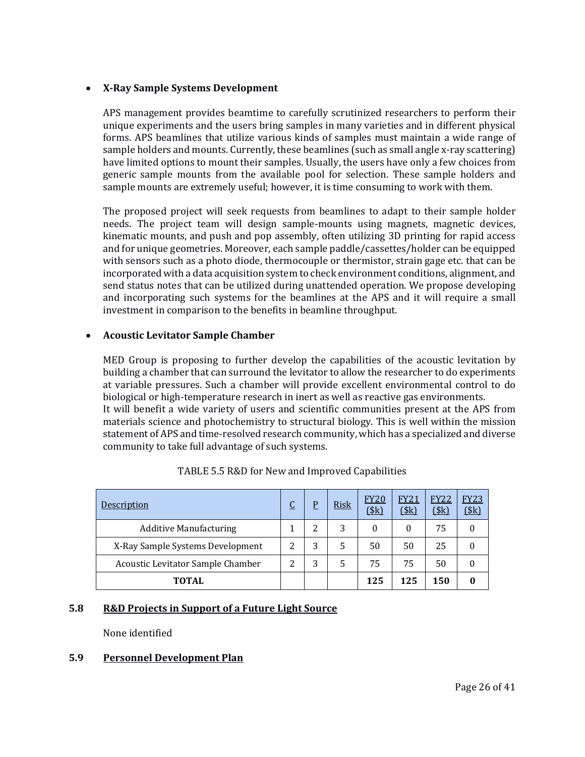#### • **X-Ray Sample Systems Development**

APS management provides beamtime to carefully scrutinized researchers to perform their unique experiments and the users bring samples in many varieties and in different physical forms. APS beamlines that utilize various kinds of samples must maintain a wide range of sample holders and mounts. Currently, these beamlines (such as small angle x-ray scattering) have limited options to mount their samples. Usually, the users have only a few choices from generic sample mounts from the available pool for selection. These sample holders and sample mounts are extremely useful; however, it is time consuming to work with them.

The proposed project will seek requests from beamlines to adapt to their sample holder needs. The project team will design sample-mounts using magnets, magnetic devices, kinematic mounts, and push and pop assembly, often utilizing 3D printing for rapid access and for unique geometries. Moreover, each sample paddle/cassettes/holder can be equipped with sensors such as a photo diode, thermocouple or thermistor, strain gage etc. that can be incorporated with a data acquisition system to check environment conditions, alignment, and send status notes that can be utilized during unattended operation. We propose developing and incorporating such systems for the beamlines at the APS and it will require a small investment in comparison to the benefits in beamline throughput.

### • **Acoustic Levitator Sample Chamber**

MED Group is proposing to further develop the capabilities of the acoustic levitation by building a chamber that can surround the levitator to allow the researcher to do experiments at variable pressures. Such a chamber will provide excellent environmental control to do biological or high-temperature research in inert as well as reactive gas environments. It will benefit a wide variety of users and scientific communities present at the APS from materials science and photochemistry to structural biology. This is well within the mission statement of APS and time-resolved research community, which has a specialized and diverse community to take full advantage of such systems.

| Description                       | J | P | <b>Risk</b> | <b>FY20</b><br>\$k\$ | FY21<br>\$k\$ | <b>FY22</b><br>(\$k) | <b>FY23</b><br><u>(\$k)</u> |
|-----------------------------------|---|---|-------------|----------------------|---------------|----------------------|-----------------------------|
| <b>Additive Manufacturing</b>     |   | 2 | 3           | $\theta$             | $\theta$      | 75                   |                             |
| X-Ray Sample Systems Development  | າ | 3 | 5           | 50                   | 50            | 25                   |                             |
| Acoustic Levitator Sample Chamber | っ | 3 |             | 75                   | 75            | 50                   |                             |
| <b>TOTAL</b>                      |   |   |             | 125                  | 125           | 150                  |                             |

# **5.8 R&D Projects in Support of a Future Light Source**

None identified

# **5.9 Personnel Development Plan**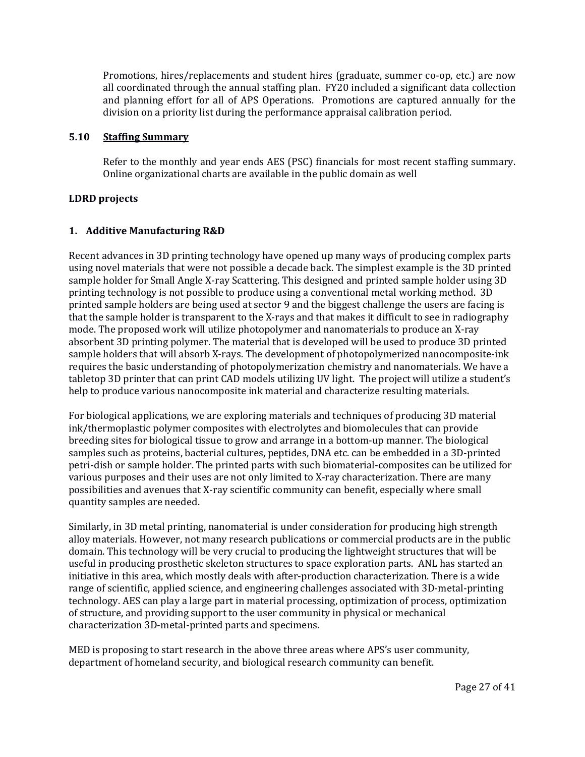Promotions, hires/replacements and student hires (graduate, summer co-op, etc.) are now all coordinated through the annual staffing plan. FY20 included a significant data collection and planning effort for all of APS Operations. Promotions are captured annually for the division on a priority list during the performance appraisal calibration period.

### **5.10 Staffing Summary**

Refer to the monthly and year ends AES (PSC) financials for most recent staffing summary. Online organizational charts are available in the public domain as well

### **LDRD projects**

# **1. Additive Manufacturing R&D**

Recent advances in 3D printing technology have opened up many ways of producing complex parts using novel materials that were not possible a decade back. The simplest example is the 3D printed sample holder for Small Angle X-ray Scattering. This designed and printed sample holder using 3D printing technology is not possible to produce using a conventional metal working method. 3D printed sample holders are being used at sector 9 and the biggest challenge the users are facing is that the sample holder is transparent to the X-rays and that makes it difficult to see in radiography mode. The proposed work will utilize photopolymer and nanomaterials to produce an X-ray absorbent 3D printing polymer. The material that is developed will be used to produce 3D printed sample holders that will absorb X-rays. The development of photopolymerized nanocomposite-ink requires the basic understanding of photopolymerization chemistry and nanomaterials. We have a tabletop 3D printer that can print CAD models utilizing UV light. The project will utilize a student's help to produce various nanocomposite ink material and characterize resulting materials.

For biological applications, we are exploring materials and techniques of producing 3D material ink/thermoplastic polymer composites with electrolytes and biomolecules that can provide breeding sites for biological tissue to grow and arrange in a bottom-up manner. The biological samples such as proteins, bacterial cultures, peptides, DNA etc. can be embedded in a 3D-printed petri-dish or sample holder. The printed parts with such biomaterial-composites can be utilized for various purposes and their uses are not only limited to X-ray characterization. There are many possibilities and avenues that X-ray scientific community can benefit, especially where small quantity samples are needed.

Similarly, in 3D metal printing, nanomaterial is under consideration for producing high strength alloy materials. However, not many research publications or commercial products are in the public domain. This technology will be very crucial to producing the lightweight structures that will be useful in producing prosthetic skeleton structures to space exploration parts. ANL has started an initiative in this area, which mostly deals with after-production characterization. There is a wide range of scientific, applied science, and engineering challenges associated with 3D-metal-printing technology. AES can play a large part in material processing, optimization of process, optimization of structure, and providing support to the user community in physical or mechanical characterization 3D-metal-printed parts and specimens.

MED is proposing to start research in the above three areas where APS's user community, department of homeland security, and biological research community can benefit.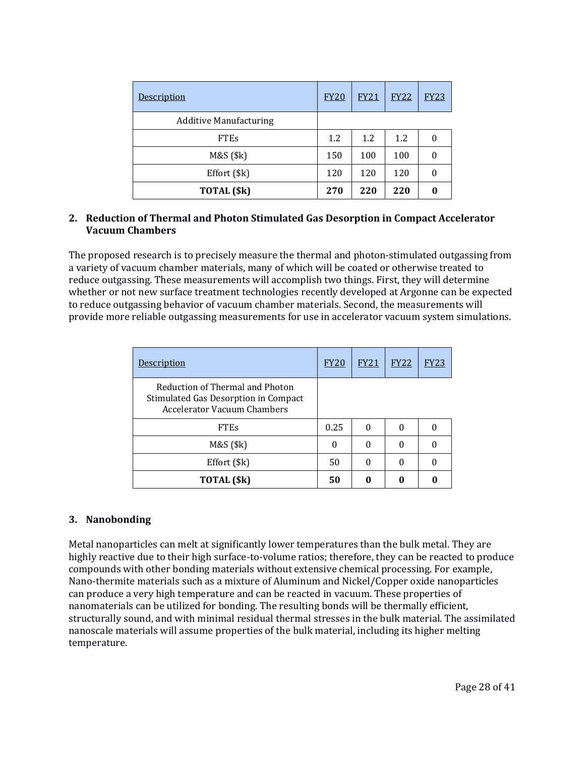| Description                   | <b>FY20</b> | <b>FY21</b> | <b>FY22</b> | <b>FY23</b> |
|-------------------------------|-------------|-------------|-------------|-------------|
| <b>Additive Manufacturing</b> |             |             |             |             |
| <b>FTEs</b>                   | 1.2         | 1.2         | 1.2         | 0           |
| M&S (\$k)                     | 150         | 100         | 100         | 0           |
| Effort (\$k)                  | 120         | 120         | 120         | 0           |
| TOTAL (\$k)                   | 270         | 220         | 220         | 0           |

### **2. Reduction of Thermal and Photon Stimulated Gas Desorption in Compact Accelerator Vacuum Chambers**

The proposed research is to precisely measure the thermal and photon-stimulated outgassing from a variety of vacuum chamber materials, many of which will be coated or otherwise treated to reduce outgassing. These measurements will accomplish two things. First, they will determine whether or not new surface treatment technologies recently developed at Argonne can be expected to reduce outgassing behavior of vacuum chamber materials. Second, the measurements will provide more reliable outgassing measurements for use in accelerator vacuum system simulations.

| <b>Description</b>                                                                                            | <b>FY20</b> | <u>FY21</u> | <b>FY22</b> | <b>FY23</b> |
|---------------------------------------------------------------------------------------------------------------|-------------|-------------|-------------|-------------|
| Reduction of Thermal and Photon<br>Stimulated Gas Desorption in Compact<br><b>Accelerator Vacuum Chambers</b> |             |             |             |             |
| <b>FTEs</b>                                                                                                   | 0.25        |             |             |             |
| M&S (\$k)                                                                                                     | 0           |             |             |             |
| Effort (\$k)                                                                                                  | 50          | 0           | 0           |             |
| TOTAL (\$k)                                                                                                   | 50          |             |             |             |

# **3. Nanobonding**

Metal nanoparticles can melt at significantly lower temperatures than the bulk metal. They are highly reactive due to their high surface-to-volume ratios; therefore, they can be reacted to produce compounds with other bonding materials without extensive chemical processing. For example, Nano-thermite materials such as a mixture of Aluminum and Nickel/Copper oxide nanoparticles can produce a very high temperature and can be reacted in vacuum. These properties of nanomaterials can be utilized for bonding. The resulting bonds will be thermally efficient, structurally sound, and with minimal residual thermal stresses in the bulk material. The assimilated nanoscale materials will assume properties of the bulk material, including its higher melting temperature.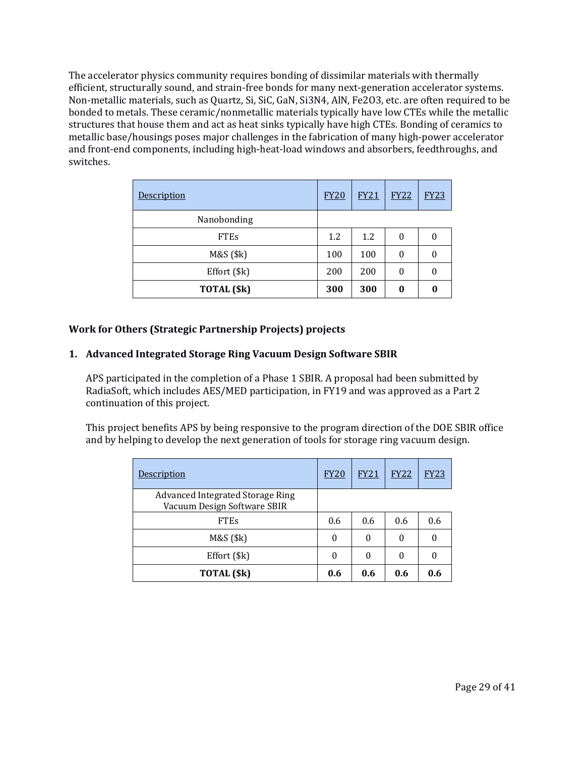The accelerator physics community requires bonding of dissimilar materials with thermally efficient, structurally sound, and strain-free bonds for many next-generation accelerator systems. Non-metallic materials, such as Quartz, Si, SiC, GaN, Si3N4, AlN, Fe2O3, etc. are often required to be bonded to metals. These ceramic/nonmetallic materials typically have low CTEs while the metallic structures that house them and act as heat sinks typically have high CTEs. Bonding of ceramics to metallic base/housings poses major challenges in the fabrication of many high-power accelerator and front-end components, including high-heat-load windows and absorbers, feedthroughs, and switches.

| Description  | <b>FY20</b> | <b>FY21</b> | <b>FY22</b> | <b>FY23</b>      |
|--------------|-------------|-------------|-------------|------------------|
| Nanobonding  |             |             |             |                  |
| <b>FTEs</b>  | 1.2         | 1.2         | 0           | $\boldsymbol{0}$ |
| M&S (\$k)    | 100         | 100         | 0           | 0                |
| Effort (\$k) | 200         | 200         | 0           | 0                |
| TOTAL (\$k)  | 300         | 300         | 0           | 0                |

# **Work for Others (Strategic Partnership Projects) projects**

#### **1. Advanced Integrated Storage Ring Vacuum Design Software SBIR**

APS participated in the completion of a Phase 1 SBIR. A proposal had been submitted by RadiaSoft, which includes AES/MED participation, in FY19 and was approved as a Part 2 continuation of this project.

This project benefits APS by being responsive to the program direction of the DOE SBIR office and by helping to develop the next generation of tools for storage ring vacuum design.

| <u>Description</u>                                              | <b>FY20</b> | <b>FY21</b> | <b>FY22</b> | <b>FY23</b> |
|-----------------------------------------------------------------|-------------|-------------|-------------|-------------|
| Advanced Integrated Storage Ring<br>Vacuum Design Software SBIR |             |             |             |             |
| <b>FTE<sub>s</sub></b>                                          | 0.6         | 0.6         | 0.6         | 0.6         |
| $M&S($ \$k $)$                                                  | 0           | $\theta$    | 0           |             |
| Effort (\$k)                                                    | 0           | $\theta$    | 0           |             |
| TOTAL (\$k)                                                     | 0.6         | 0.6         | 0.6         | 0.6         |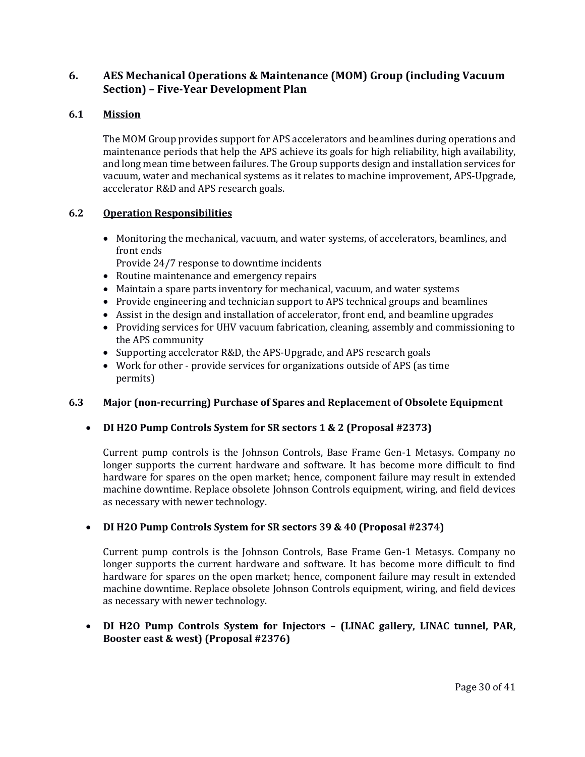# **6. AES Mechanical Operations & Maintenance (MOM) Group (including Vacuum Section) – Five-Year Development Plan**

# **6.1 Mission**

The MOM Group provides support for APS accelerators and beamlines during operations and maintenance periods that help the APS achieve its goals for high reliability, high availability, and long mean time between failures. The Group supports design and installation services for vacuum, water and mechanical systems as it relates to machine improvement, APS-Upgrade, accelerator R&D and APS research goals.

# **6.2 Operation Responsibilities**

• Monitoring the mechanical, vacuum, and water systems, of accelerators, beamlines, and front ends

Provide 24/7 response to downtime incidents

- Routine maintenance and emergency repairs
- Maintain a spare parts inventory for mechanical, vacuum, and water systems
- Provide engineering and technician support to APS technical groups and beamlines
- Assist in the design and installation of accelerator, front end, and beamline upgrades
- Providing services for UHV vacuum fabrication, cleaning, assembly and commissioning to the APS community
- Supporting accelerator R&D, the APS-Upgrade, and APS research goals
- Work for other provide services for organizations outside of APS (as time permits)

# **6.3 Major (non-recurring) Purchase of Spares and Replacement of Obsolete Equipment**

# • **DI H2O Pump Controls System for SR sectors 1 & 2 (Proposal #2373)**

Current pump controls is the Johnson Controls, Base Frame Gen-1 Metasys. Company no longer supports the current hardware and software. It has become more difficult to find hardware for spares on the open market; hence, component failure may result in extended machine downtime. Replace obsolete Johnson Controls equipment, wiring, and field devices as necessary with newer technology.

# • **DI H2O Pump Controls System for SR sectors 39 & 40 (Proposal #2374)**

Current pump controls is the Johnson Controls, Base Frame Gen-1 Metasys. Company no longer supports the current hardware and software. It has become more difficult to find hardware for spares on the open market; hence, component failure may result in extended machine downtime. Replace obsolete Johnson Controls equipment, wiring, and field devices as necessary with newer technology.

# • **DI H2O Pump Controls System for Injectors – (LINAC gallery, LINAC tunnel, PAR, Booster east & west) (Proposal #2376)**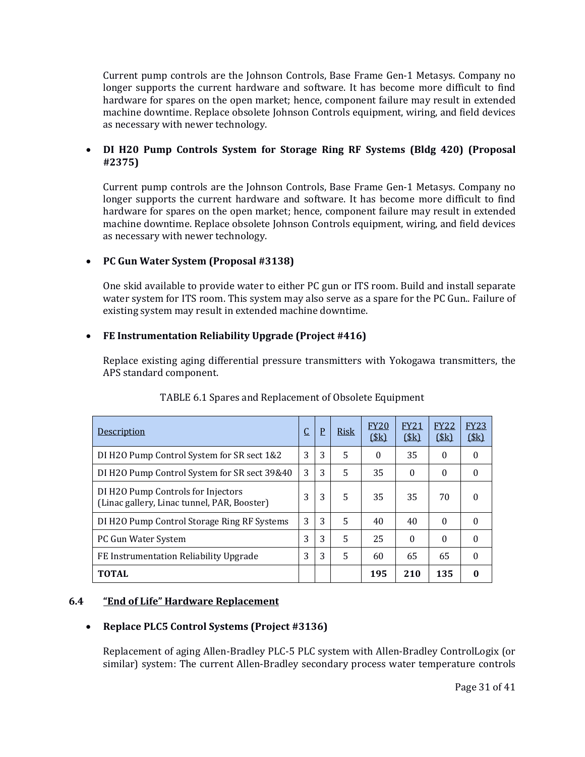Current pump controls are the Johnson Controls, Base Frame Gen-1 Metasys. Company no longer supports the current hardware and software. It has become more difficult to find hardware for spares on the open market; hence, component failure may result in extended machine downtime. Replace obsolete Johnson Controls equipment, wiring, and field devices as necessary with newer technology.

# • **DI H20 Pump Controls System for Storage Ring RF Systems (Bldg 420) (Proposal #2375)**

Current pump controls are the Johnson Controls, Base Frame Gen-1 Metasys. Company no longer supports the current hardware and software. It has become more difficult to find hardware for spares on the open market; hence, component failure may result in extended machine downtime. Replace obsolete Johnson Controls equipment, wiring, and field devices as necessary with newer technology.

# • **PC Gun Water System (Proposal #3138)**

One skid available to provide water to either PC gun or ITS room. Build and install separate water system for ITS room. This system may also serve as a spare for the PC Gun.. Failure of existing system may result in extended machine downtime.

# • **FE Instrumentation Reliability Upgrade (Project #416)**

Replace existing aging differential pressure transmitters with Yokogawa transmitters, the APS standard component.

| Description                                                                       | <u>يا</u> | $\overline{\mathrm{P}}$ | Risk | <b>FY20</b><br>\$k\$ | <b>FY21</b><br>\$k\$ | <b>FY22</b><br>\$k\$ | <b>FY23</b><br>\$k\$ |
|-----------------------------------------------------------------------------------|-----------|-------------------------|------|----------------------|----------------------|----------------------|----------------------|
| DI H2O Pump Control System for SR sect 1&2                                        | 3         | 3                       | 5    | $\Omega$             | 35                   | $\Omega$             | 0                    |
| DI H2O Pump Control System for SR sect 39&40                                      | 3         | 3                       | 5    | 35                   | $\theta$             | $\theta$             | 0                    |
| DI H2O Pump Controls for Injectors<br>(Linac gallery, Linac tunnel, PAR, Booster) | 3         | 3                       | 5    | 35                   | 35                   | 70                   | $\Omega$             |
| DI H <sub>20</sub> Pump Control Storage Ring RF Systems                           | 3         | 3                       | 5    | 40                   | 40                   | $\Omega$             | $\theta$             |
| PC Gun Water System                                                               | 3         | 3                       | 5    | 25                   | $\theta$             | $\theta$             | $\Omega$             |
| FE Instrumentation Reliability Upgrade                                            | 3         | 3                       | 5    | 60                   | 65                   | 65                   | $\theta$             |
| <b>TOTAL</b>                                                                      |           |                         |      | 195                  | 210                  | 135                  | 0                    |

# TABLE 6.1 Spares and Replacement of Obsolete Equipment

# **6.4 "End of Life" Hardware Replacement**

# • **Replace PLC5 Control Systems (Project #3136)**

Replacement of aging Allen-Bradley PLC-5 PLC system with Allen-Bradley ControlLogix (or similar) system: The current Allen-Bradley secondary process water temperature controls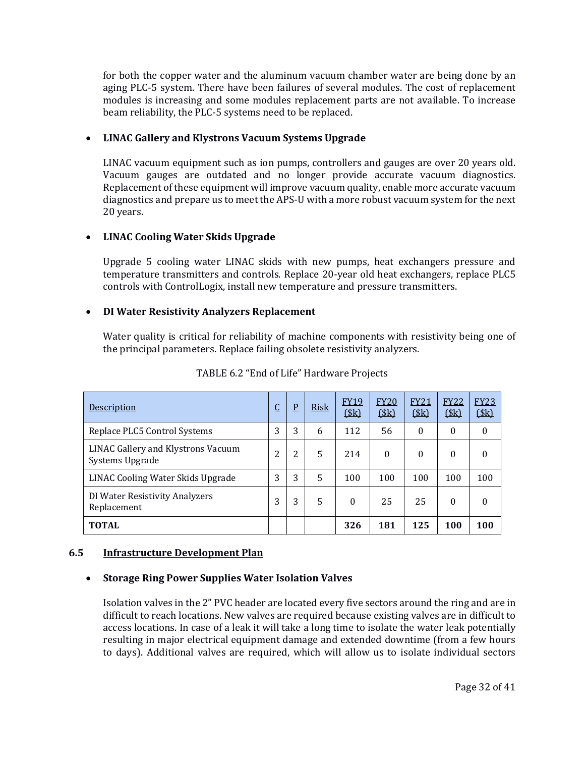for both the copper water and the aluminum vacuum chamber water are being done by an aging PLC-5 system. There have been failures of several modules. The cost of replacement modules is increasing and some modules replacement parts are not available. To increase beam reliability, the PLC-5 systems need to be replaced.

# • **LINAC Gallery and Klystrons Vacuum Systems Upgrade**

LINAC vacuum equipment such as ion pumps, controllers and gauges are over 20 years old. Vacuum gauges are outdated and no longer provide accurate vacuum diagnostics. Replacement of these equipment will improve vacuum quality, enable more accurate vacuum diagnostics and prepare us to meet the APS-U with a more robust vacuum system for the next 20 years.

# • **LINAC Cooling Water Skids Upgrade**

Upgrade 5 cooling water LINAC skids with new pumps, heat exchangers pressure and temperature transmitters and controls. Replace 20-year old heat exchangers, replace PLC5 controls with ControlLogix, install new temperature and pressure transmitters.

# • **DI Water Resistivity Analyzers Replacement**

Water quality is critical for reliability of machine components with resistivity being one of the principal parameters. Replace failing obsolete resistivity analyzers.

| Description                                           | ◡               | $\overline{P}$ | <b>Risk</b> | <b>FY19</b><br>(\$k) | <b>FY20</b><br>\$k\$ | <b>FY21</b><br>\$k\$ | <b>FY22</b><br>(\$k) | <b>FY23</b><br>\$k\$ |
|-------------------------------------------------------|-----------------|----------------|-------------|----------------------|----------------------|----------------------|----------------------|----------------------|
| Replace PLC5 Control Systems                          | 3               | 3              | 6           | 112                  | 56                   | $\theta$             | $\Omega$             | $\Omega$             |
| LINAC Gallery and Klystrons Vacuum<br>Systems Upgrade | າ<br>$\epsilon$ | 2              | 5           | 214                  | $\Omega$             | $\theta$             | $\mathbf{0}$         | 0                    |
| LINAC Cooling Water Skids Upgrade                     | 3               | 3              | 5           | 100                  | 100                  | 100                  | 100                  | 100                  |
| DI Water Resistivity Analyzers<br>Replacement         | 3               | 3              | 5           | $\theta$             | 25                   | 25                   | $\theta$             | 0                    |
| <b>TOTAL</b>                                          |                 |                |             | 326                  | 181                  | 125                  | 100                  | 100                  |

TABLE 6.2 "End of Life" Hardware Projects

# **6.5 Infrastructure Development Plan**

# • **Storage Ring Power Supplies Water Isolation Valves**

Isolation valves in the 2" PVC header are located every five sectors around the ring and are in difficult to reach locations. New valves are required because existing valves are in difficult to access locations. In case of a leak it will take a long time to isolate the water leak potentially resulting in major electrical equipment damage and extended downtime (from a few hours to days). Additional valves are required, which will allow us to isolate individual sectors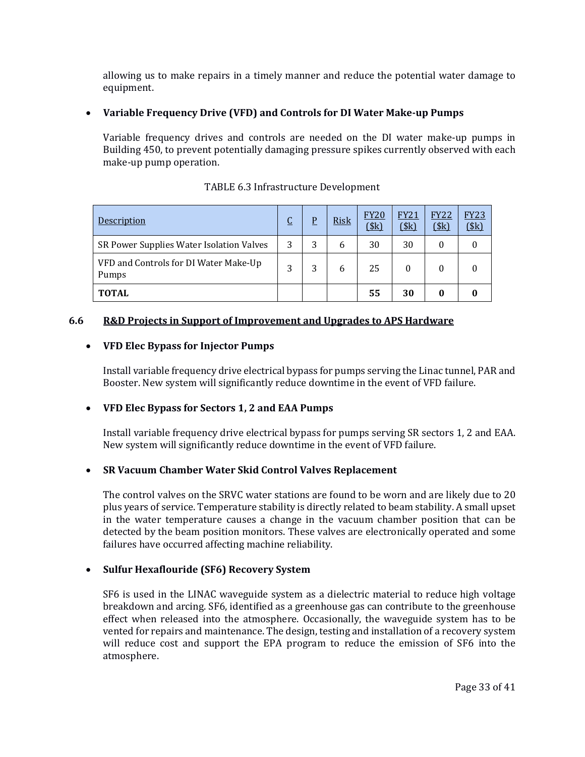allowing us to make repairs in a timely manner and reduce the potential water damage to equipment.

# • **Variable Frequency Drive (VFD) and Controls for DI Water Make-up Pumps**

Variable frequency drives and controls are needed on the DI water make-up pumps in Building 450, to prevent potentially damaging pressure spikes currently observed with each make-up pump operation.

| Description                                    | $\overline{C}$ | P | <b>Risk</b> | <b>FY20</b><br>$($ \$k $)$ | <b>FY21</b><br>(\$k) | <b>FY22</b><br>(\$k) | <b>FY23</b><br>\$k\$ |
|------------------------------------------------|----------------|---|-------------|----------------------------|----------------------|----------------------|----------------------|
| SR Power Supplies Water Isolation Valves       | 3              | 3 | 6           | 30                         | 30                   | 0                    |                      |
| VFD and Controls for DI Water Make-Up<br>Pumps | 3              | 3 | 6           | 25                         |                      |                      |                      |
| <b>TOTAL</b>                                   |                |   |             | 55                         | 30                   |                      |                      |

# TABLE 6.3 Infrastructure Development

# **6.6 R&D Projects in Support of Improvement and Upgrades to APS Hardware**

# • **VFD Elec Bypass for Injector Pumps**

Install variable frequency drive electrical bypass for pumps serving the Linac tunnel, PAR and Booster. New system will significantly reduce downtime in the event of VFD failure.

# • **VFD Elec Bypass for Sectors 1, 2 and EAA Pumps**

Install variable frequency drive electrical bypass for pumps serving SR sectors 1, 2 and EAA. New system will significantly reduce downtime in the event of VFD failure.

# • **SR Vacuum Chamber Water Skid Control Valves Replacement**

The control valves on the SRVC water stations are found to be worn and are likely due to 20 plus years of service. Temperature stability is directly related to beam stability. A small upset in the water temperature causes a change in the vacuum chamber position that can be detected by the beam position monitors. These valves are electronically operated and some failures have occurred affecting machine reliability.

#### • **Sulfur Hexaflouride (SF6) Recovery System**

SF6 is used in the LINAC waveguide system as a dielectric material to reduce high voltage breakdown and arcing. SF6, identified as a greenhouse gas can contribute to the greenhouse effect when released into the atmosphere. Occasionally, the waveguide system has to be vented for repairs and maintenance. The design, testing and installation of a recovery system will reduce cost and support the EPA program to reduce the emission of SF6 into the atmosphere.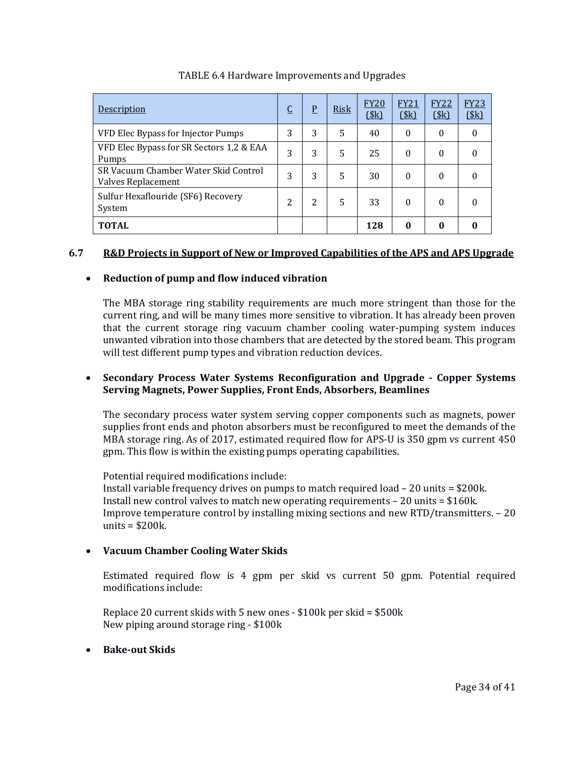| Description                                                | $\overline{C}$ | $\overline{P}$ | <b>Risk</b> | <b>FY20</b><br>(Sk) | <b>FY21</b><br>\$k\$ | <b>FY22</b><br>\$k\$ | <b>FY23</b><br>\$k\$ |
|------------------------------------------------------------|----------------|----------------|-------------|---------------------|----------------------|----------------------|----------------------|
| VFD Elec Bypass for Injector Pumps                         | 3              | 3              | 5           | 40                  | $\theta$             | $\theta$             | $\theta$             |
| VFD Elec Bypass for SR Sectors 1,2 & EAA<br>Pumps          | 3              | 3              | 5           | 25                  | $\theta$             | $\theta$             | 0                    |
| SR Vacuum Chamber Water Skid Control<br>Valves Replacement | 3              | 3              | 5           | 30                  | $\theta$             | $\theta$             | 0                    |
| Sulfur Hexaflouride (SF6) Recovery<br>System               | 2              | 2              | 5           | 33                  | $\theta$             | $\theta$             | 0                    |
| <b>TOTAL</b>                                               |                |                |             | 128                 | 0                    | 0                    |                      |

# TABLE 6.4 Hardware Improvements and Upgrades

# **6.7 R&D Projects in Support of New or Improved Capabilities of the APS and APS Upgrade**

# • **Reduction of pump and flow induced vibration**

The MBA storage ring stability requirements are much more stringent than those for the current ring, and will be many times more sensitive to vibration. It has already been proven that the current storage ring vacuum chamber cooling water-pumping system induces unwanted vibration into those chambers that are detected by the stored beam. This program will test different pump types and vibration reduction devices.

### • **Secondary Process Water Systems Reconfiguration and Upgrade - Copper Systems Serving Magnets, Power Supplies, Front Ends, Absorbers, Beamlines**

The secondary process water system serving copper components such as magnets, power supplies front ends and photon absorbers must be reconfigured to meet the demands of the MBA storage ring. As of 2017, estimated required flow for APS-U is 350 gpm vs current 450 gpm. This flow is within the existing pumps operating capabilities.

Potential required modifications include:

Install variable frequency drives on pumps to match required load – 20 units = \$200k. Install new control valves to match new operating requirements  $-20$  units  $= $160k$ . Improve temperature control by installing mixing sections and new RTD/transmitters. – 20 units = \$200k.

# • **Vacuum Chamber Cooling Water Skids**

Estimated required flow is 4 gpm per skid vs current 50 gpm. Potential required modifications include:

Replace 20 current skids with 5 new ones - \$100k per skid = \$500k New piping around storage ring - \$100k

# • **Bake-out Skids**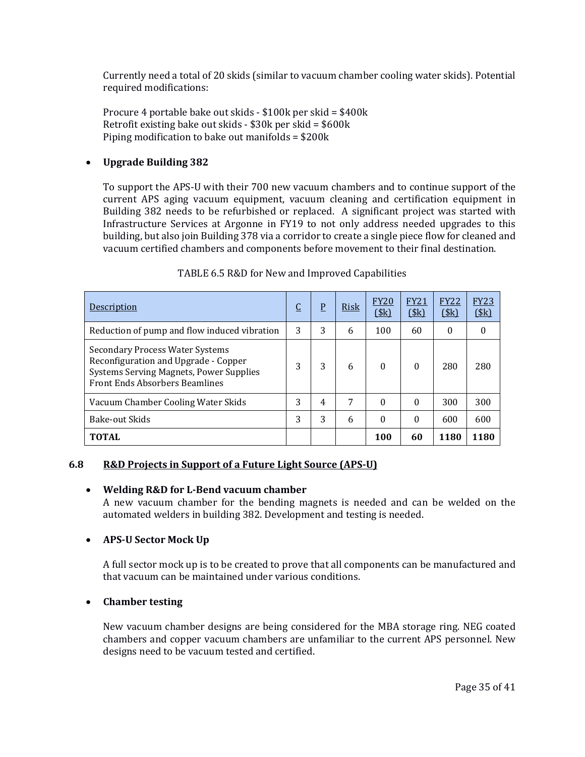Currently need a total of 20 skids (similar to vacuum chamber cooling water skids). Potential required modifications:

Procure 4 portable bake out skids - \$100k per skid = \$400k Retrofit existing bake out skids - \$30k per skid = \$600k Piping modification to bake out manifolds = \$200k

### • **Upgrade Building 382**

To support the APS-U with their 700 new vacuum chambers and to continue support of the current APS aging vacuum equipment, vacuum cleaning and certification equipment in Building 382 needs to be refurbished or replaced. A significant project was started with Infrastructure Services at Argonne in FY19 to not only address needed upgrades to this building, but also join Building 378 via a corridor to create a single piece flow for cleaned and vacuum certified chambers and components before movement to their final destination.

| <b>Description</b>                                                                                                                                          | <u>C</u> | P | Risk | <b>FY20</b><br>\$k\$ | <b>FY21</b><br>\$k\$ | <b>FY22</b><br>(\$k) | <b>FY23</b><br>\$k\$ |
|-------------------------------------------------------------------------------------------------------------------------------------------------------------|----------|---|------|----------------------|----------------------|----------------------|----------------------|
| Reduction of pump and flow induced vibration                                                                                                                | 3        | 3 | 6    | 100                  | 60                   | $\Omega$             | 0                    |
| Secondary Process Water Systems<br>Reconfiguration and Upgrade - Copper<br>Systems Serving Magnets, Power Supplies<br><b>Front Ends Absorbers Beamlines</b> | 3        | 3 | 6    | $\Omega$             | $\Omega$             | 280                  | 280                  |
| Vacuum Chamber Cooling Water Skids                                                                                                                          | 3        | 4 | 7    | $\Omega$             | $\Omega$             | 300                  | 300                  |
| <b>Bake-out Skids</b>                                                                                                                                       | 3        | 3 | 6    | $\Omega$             | $\Omega$             | 600                  | 600                  |
| <b>TOTAL</b>                                                                                                                                                |          |   |      | 100                  | 60                   | 1180                 | 1180                 |

### TABLE 6.5 R&D for New and Improved Capabilities

#### **6.8 R&D Projects in Support of a Future Light Source (APS-U)**

#### • **Welding R&D for L-Bend vacuum chamber**

A new vacuum chamber for the bending magnets is needed and can be welded on the automated welders in building 382. Development and testing is needed.

# • **APS-U Sector Mock Up**

A full sector mock up is to be created to prove that all components can be manufactured and that vacuum can be maintained under various conditions.

#### • **Chamber testing**

New vacuum chamber designs are being considered for the MBA storage ring. NEG coated chambers and copper vacuum chambers are unfamiliar to the current APS personnel. New designs need to be vacuum tested and certified.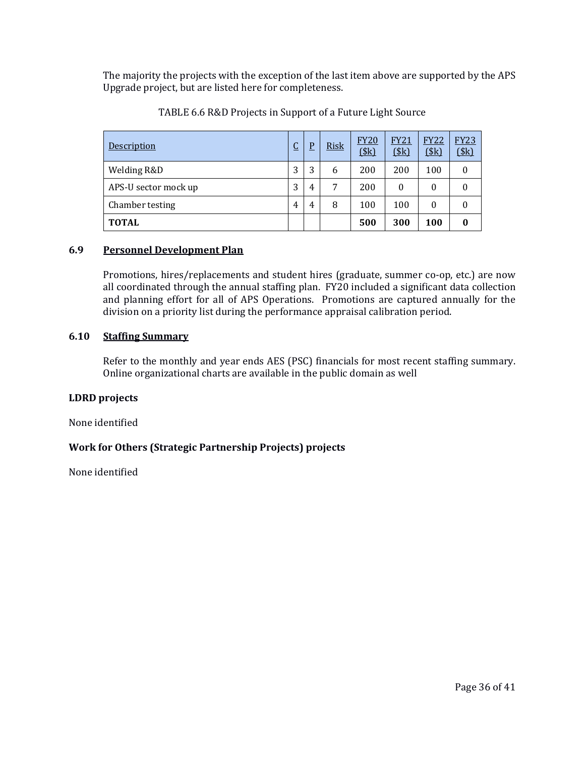The majority the projects with the exception of the last item above are supported by the APS Upgrade project, but are listed here for completeness.

| Description          | ⌒<br>◡ | D | <b>Risk</b> | <b>FY20</b><br>\$k\$ | <b>FY21</b><br>\$k\$ | <b>FY22</b><br>(\$k) | <b>FY23</b><br>(\$k) |
|----------------------|--------|---|-------------|----------------------|----------------------|----------------------|----------------------|
| Welding R&D          | 3      | 3 | 6           | 200                  | 200                  | 100                  | $\Omega$             |
| APS-U sector mock up | 3      | 4 | 7           | 200                  | $\theta$             | $\theta$             | 0                    |
| Chamber testing      | 4      | 4 | 8           | 100                  | 100                  | $\theta$             | $\theta$             |
| <b>TOTAL</b>         |        |   |             | 500                  | 300                  | 100                  | $\bf{0}$             |

| TABLE 6.6 R&D Projects in Support of a Future Light Source |
|------------------------------------------------------------|
|------------------------------------------------------------|

### **6.9 Personnel Development Plan**

Promotions, hires/replacements and student hires (graduate, summer co-op, etc.) are now all coordinated through the annual staffing plan. FY20 included a significant data collection and planning effort for all of APS Operations. Promotions are captured annually for the division on a priority list during the performance appraisal calibration period.

### **6.10 Staffing Summary**

Refer to the monthly and year ends AES (PSC) financials for most recent staffing summary. Online organizational charts are available in the public domain as well

#### **LDRD projects**

None identified

#### **Work for Others (Strategic Partnership Projects) projects**

None identified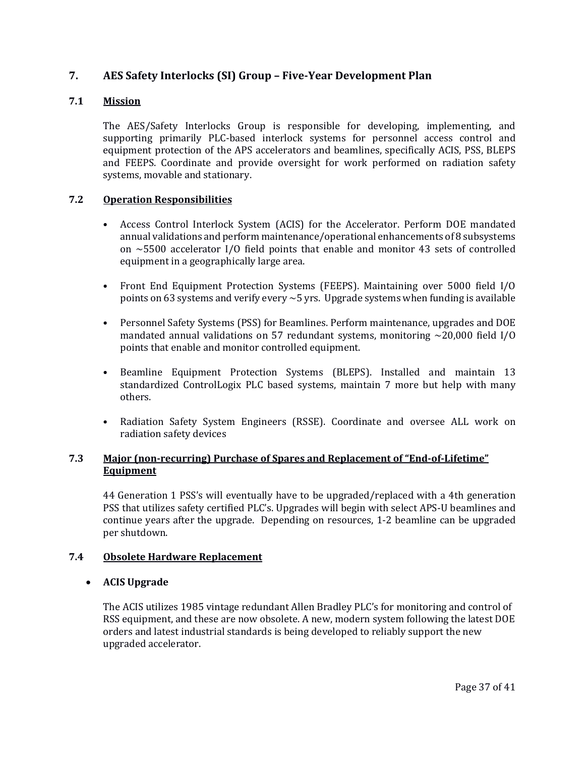# **7. AES Safety Interlocks (SI) Group – Five-Year Development Plan**

# **7.1 Mission**

The AES/Safety Interlocks Group is responsible for developing, implementing, and supporting primarily PLC-based interlock systems for personnel access control and equipment protection of the APS accelerators and beamlines, specifically ACIS, PSS, BLEPS and FEEPS. Coordinate and provide oversight for work performed on radiation safety systems, movable and stationary.

### **7.2 Operation Responsibilities**

- Access Control Interlock System (ACIS) for the Accelerator. Perform DOE mandated annual validations and perform maintenance/operational enhancements of 8 subsystems on ~5500 accelerator I/O field points that enable and monitor 43 sets of controlled equipment in a geographically large area.
- Front End Equipment Protection Systems (FEEPS). Maintaining over 5000 field I/O points on 63 systems and verify every  $\sim$  5 yrs. Upgrade systems when funding is available
- Personnel Safety Systems (PSS) for Beamlines. Perform maintenance, upgrades and DOE mandated annual validations on 57 redundant systems, monitoring  $\sim$  20,000 field I/O points that enable and monitor controlled equipment.
- Beamline Equipment Protection Systems (BLEPS). Installed and maintain 13 standardized ControlLogix PLC based systems, maintain 7 more but help with many others.
- Radiation Safety System Engineers (RSSE). Coordinate and oversee ALL work on radiation safety devices

# **7.3 Major (non-recurring) Purchase of Spares and Replacement of "End-of-Lifetime" Equipment**

44 Generation 1 PSS's will eventually have to be upgraded/replaced with a 4th generation PSS that utilizes safety certified PLC's. Upgrades will begin with select APS-U beamlines and continue years after the upgrade. Depending on resources, 1-2 beamline can be upgraded per shutdown.

#### **7.4 Obsolete Hardware Replacement**

#### • **ACIS Upgrade**

The ACIS utilizes 1985 vintage redundant Allen Bradley PLC's for monitoring and control of RSS equipment, and these are now obsolete. A new, modern system following the latest DOE orders and latest industrial standards is being developed to reliably support the new upgraded accelerator.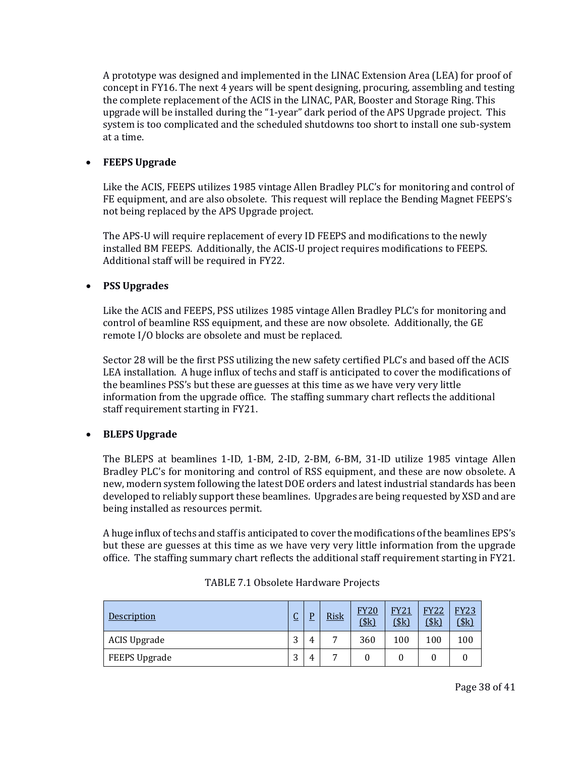A prototype was designed and implemented in the LINAC Extension Area (LEA) for proof of concept in FY16. The next 4 years will be spent designing, procuring, assembling and testing the complete replacement of the ACIS in the LINAC, PAR, Booster and Storage Ring. This upgrade will be installed during the "1-year" dark period of the APS Upgrade project. This system is too complicated and the scheduled shutdowns too short to install one sub-system at a time.

### • **FEEPS Upgrade**

Like the ACIS, FEEPS utilizes 1985 vintage Allen Bradley PLC's for monitoring and control of FE equipment, and are also obsolete. This request will replace the Bending Magnet FEEPS's not being replaced by the APS Upgrade project.

The APS-U will require replacement of every ID FEEPS and modifications to the newly installed BM FEEPS. Additionally, the ACIS-U project requires modifications to FEEPS. Additional staff will be required in FY22.

### • **PSS Upgrades**

Like the ACIS and FEEPS, PSS utilizes 1985 vintage Allen Bradley PLC's for monitoring and control of beamline RSS equipment, and these are now obsolete. Additionally, the GE remote I/O blocks are obsolete and must be replaced.

Sector 28 will be the first PSS utilizing the new safety certified PLC's and based off the ACIS LEA installation. A huge influx of techs and staff is anticipated to cover the modifications of the beamlines PSS's but these are guesses at this time as we have very very little information from the upgrade office. The staffing summary chart reflects the additional staff requirement starting in FY21.

# • **BLEPS Upgrade**

The BLEPS at beamlines 1-ID, 1-BM, 2-ID, 2-BM, 6-BM, 31-ID utilize 1985 vintage Allen Bradley PLC's for monitoring and control of RSS equipment, and these are now obsolete. A new, modern system following the latest DOE orders and latest industrial standards has been developed to reliably support these beamlines. Upgrades are being requested by XSD and are being installed as resources permit.

A huge influx of techs and staff is anticipated to cover the modifications of the beamlines EPS's but these are guesses at this time as we have very very little information from the upgrade office. The staffing summary chart reflects the additional staff requirement starting in FY21.

| Description          | ◠<br><u>u</u> | <u>Risk</u>    | FY20<br>\$k\$ | <b>FY21</b><br>\$k\$ | <b>FY22</b><br>\$k\$ | FY23<br><u>(\$k)</u> |
|----------------------|---------------|----------------|---------------|----------------------|----------------------|----------------------|
| ACIS Upgrade         | っ<br>Ć        | $\overline{ }$ | 360           | 100                  | 100                  | 100                  |
| <b>FEEPS Upgrade</b> | C<br>ر        | $\overline{ }$ |               |                      |                      |                      |

| TABLE 7.1 Obsolete Hardware Projects |  |  |
|--------------------------------------|--|--|
|--------------------------------------|--|--|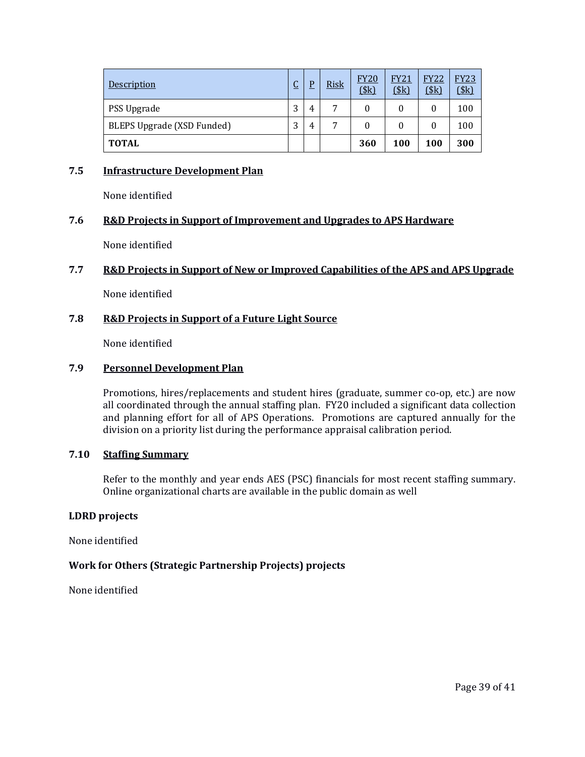| Description                | r<br><u>u</u> | D | <b>Risk</b> | <b>FY20</b><br>\$k\$ | <b>FY21</b><br>\$k\$ | <b>FY22</b><br>\$k\$ | <b>FY23</b><br>\$k\$ |
|----------------------------|---------------|---|-------------|----------------------|----------------------|----------------------|----------------------|
| PSS Upgrade                | 3             | 4 | 7           | 0                    |                      | 0                    | 100                  |
| BLEPS Upgrade (XSD Funded) | 3             | 4 | 7           | 0                    |                      |                      | 100                  |
| <b>TOTAL</b>               |               |   |             | 360                  | 100                  | 100                  | 300                  |

### **7.5 Infrastructure Development Plan**

None identified

#### **7.6 R&D Projects in Support of Improvement and Upgrades to APS Hardware**

None identified

#### **7.7 R&D Projects in Support of New or Improved Capabilities of the APS and APS Upgrade**

None identified

### **7.8 R&D Projects in Support of a Future Light Source**

None identified

#### **7.9 Personnel Development Plan**

Promotions, hires/replacements and student hires (graduate, summer co-op, etc.) are now all coordinated through the annual staffing plan. FY20 included a significant data collection and planning effort for all of APS Operations. Promotions are captured annually for the division on a priority list during the performance appraisal calibration period.

#### **7.10 Staffing Summary**

Refer to the monthly and year ends AES (PSC) financials for most recent staffing summary. Online organizational charts are available in the public domain as well

#### **LDRD projects**

None identified

# **Work for Others (Strategic Partnership Projects) projects**

None identified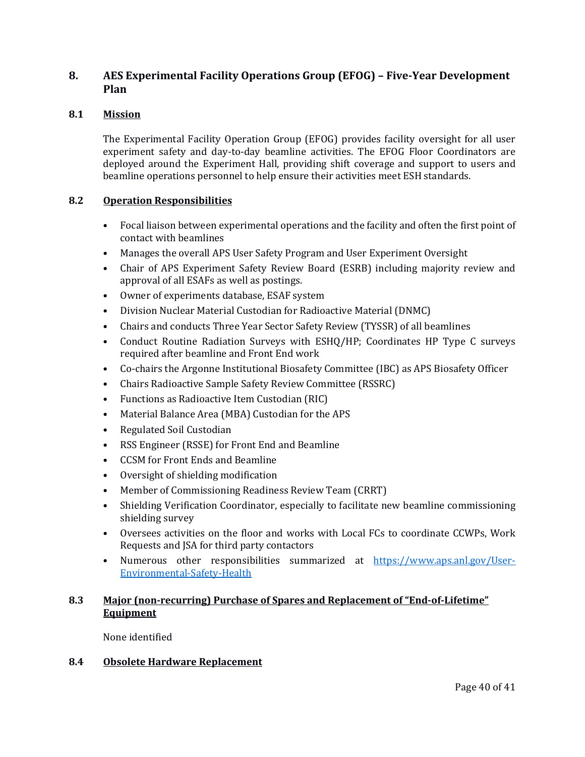# **8. AES Experimental Facility Operations Group (EFOG) – Five-Year Development Plan**

# **8.1 Mission**

The Experimental Facility Operation Group (EFOG) provides facility oversight for all user experiment safety and day-to-day beamline activities. The EFOG Floor Coordinators are deployed around the Experiment Hall, providing shift coverage and support to users and beamline operations personnel to help ensure their activities meet ESH standards.

### **8.2 Operation Responsibilities**

- Focal liaison between experimental operations and the facility and often the first point of contact with beamlines
- Manages the overall APS User Safety Program and User Experiment Oversight
- Chair of APS Experiment Safety Review Board (ESRB) including majority review and approval of all ESAFs as well as postings.
- Owner of experiments database, ESAF system
- Division Nuclear Material Custodian for Radioactive Material (DNMC)
- Chairs and conducts Three Year Sector Safety Review (TYSSR) of all beamlines
- Conduct Routine Radiation Surveys with ESHQ/HP; Coordinates HP Type C surveys required after beamline and Front End work
- Co-chairs the Argonne Institutional Biosafety Committee (IBC) as APS Biosafety Officer
- Chairs Radioactive Sample Safety Review Committee (RSSRC)
- Functions as Radioactive Item Custodian (RIC)
- Material Balance Area (MBA) Custodian for the APS
- Regulated Soil Custodian
- RSS Engineer (RSSE) for Front End and Beamline
- CCSM for Front Ends and Beamline
- Oversight of shielding modification
- Member of Commissioning Readiness Review Team (CRRT)
- Shielding Verification Coordinator, especially to facilitate new beamline commissioning shielding survey
- Oversees activities on the floor and works with Local FCs to coordinate CCWPs, Work Requests and JSA for third party contactors
- Numerous other responsibilities summarized at [https://www.aps.anl.gov/User-](https://www.aps.anl.gov/User-Environmental-Safety-Health)[Environmental-Safety-Health](https://www.aps.anl.gov/User-Environmental-Safety-Health)

# **8.3 Major (non-recurring) Purchase of Spares and Replacement of "End-of-Lifetime" Equipment**

None identified

# **8.4 Obsolete Hardware Replacement**